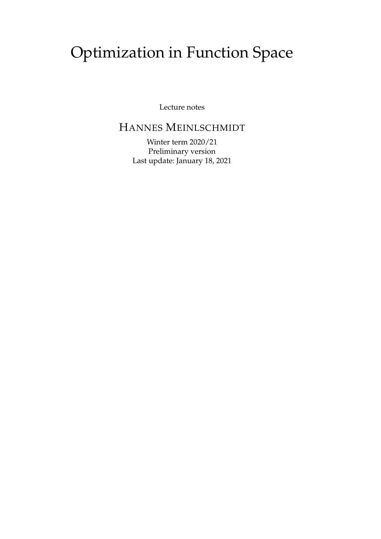# Optimization in Function Space

Lecture notes

# HANNES MEINLSCHMIDT

Winter term 2020/21 Preliminary version Last update: January 18, 2021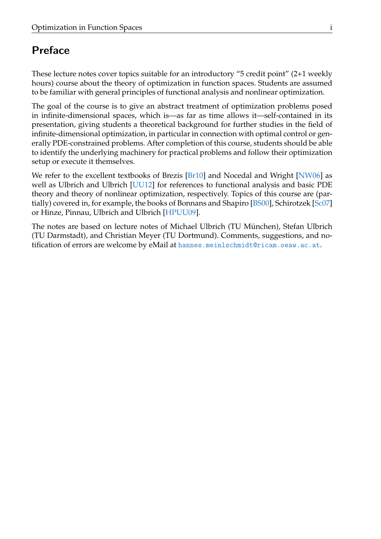# Preface

These lecture notes cover topics suitable for an introductory "5 credit point" (2+1 weekly hours) course about the theory of optimization in function spaces. Students are assumed to be familiar with general principles of functional analysis and nonlinear optimization.

The goal of the course is to give an abstract treatment of optimization problems posed in infinite-dimensional spaces, which is—as far as time allows it—self-contained in its presentation, giving students a theoretical background for further studies in the field of infinite-dimensional optimization, in particular in connection with optimal control or generally PDE-constrained problems. After completion of this course, students should be able to identify the underlying machinery for practical problems and follow their optimization setup or execute it themselves.

We refer to the excellent textbooks of Brezis  $[Br10]$  and Nocedal and Wright  $[NW06]$  as well as Ulbrich and Ulbrich [\[UU12\]](#page-51-2) for references to functional analysis and basic PDE theory and theory of nonlinear optimization, respectively. Topics of this course are (partially) covered in, for example, the books of Bonnans and Shapiro [\[BS00\]](#page-51-3), Schirotzek [\[Sc07\]](#page-51-4) or Hinze, Pinnau, Ulbrich and Ulbrich [\[HPUU09\]](#page-51-5).

The notes are based on lecture notes of Michael Ulbrich (TU München), Stefan Ulbrich (TU Darmstadt), and Christian Meyer (TU Dortmund). Comments, suggestions, and notification of errors are welcome by eMail at [hannes.meinlschmidt@ricam.oeaw.ac.at](mailto:hannes.meinlschmidt@ricam.oeaw.ac.at).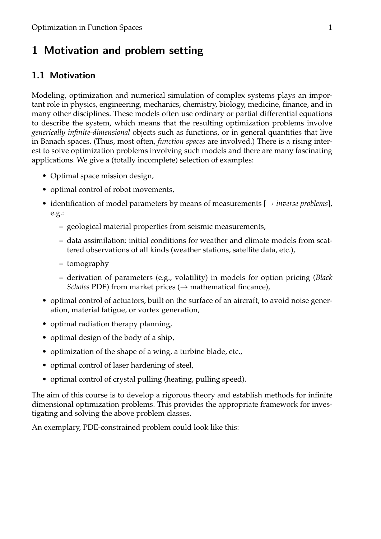# 1 Motivation and problem setting

# 1.1 Motivation

Modeling, optimization and numerical simulation of complex systems plays an important role in physics, engineering, mechanics, chemistry, biology, medicine, finance, and in many other disciplines. These models often use ordinary or partial differential equations to describe the system, which means that the resulting optimization problems involve *generically infinite-dimensional* objects such as functions, or in general quantities that live in Banach spaces. (Thus, most often, *function spaces* are involved.) There is a rising interest to solve optimization problems involving such models and there are many fascinating applications. We give a (totally incomplete) selection of examples:

- Optimal space mission design,
- optimal control of robot movements,
- identification of model parameters by means of measurements [→ *inverse problems*], e.g.:
	- **–** geological material properties from seismic measurements,
	- **–** data assimilation: initial conditions for weather and climate models from scattered observations of all kinds (weather stations, satellite data, etc.),
	- **–** tomography
	- **–** derivation of parameters (e.g., volatility) in models for option pricing (*Black Scholes* PDE) from market prices ( $\rightarrow$  mathematical fincance),
- optimal control of actuators, built on the surface of an aircraft, to avoid noise generation, material fatigue, or vortex generation,
- optimal radiation therapy planning,
- optimal design of the body of a ship,
- optimization of the shape of a wing, a turbine blade, etc.,
- optimal control of laser hardening of steel,
- optimal control of crystal pulling (heating, pulling speed).

The aim of this course is to develop a rigorous theory and establish methods for infinite dimensional optimization problems. This provides the appropriate framework for investigating and solving the above problem classes.

An exemplary, PDE-constrained problem could look like this: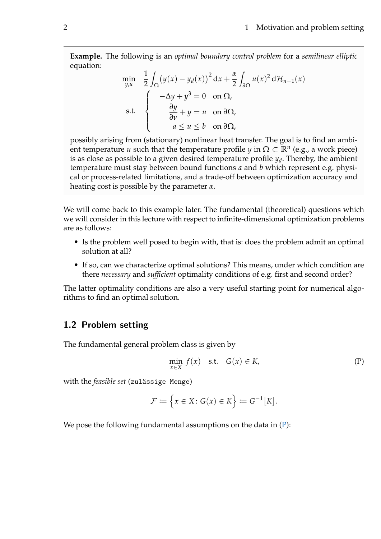**Example.** The following is an *optimal boundary control problem* for a *semilinear elliptic* equation:

$$
\min_{y,u} \quad \frac{1}{2} \int_{\Omega} (y(x) - y_d(x))^2 dx + \frac{\alpha}{2} \int_{\partial \Omega} u(x)^2 d\mathcal{H}_{n-1}(x)
$$
\n
$$
\text{s.t.} \quad \begin{cases} \quad -\Delta y + y^3 = 0 & \text{on } \Omega, \\ \quad \frac{\partial y}{\partial v} + y = u & \text{on } \partial \Omega, \\ \quad a \le u \le b & \text{on } \partial \Omega, \end{cases}
$$

possibly arising from (stationary) nonlinear heat transfer. The goal is to find an ambient temperature *u* such that the temperature profile *y* in  $\Omega \subset \mathbb{R}^n$  (e.g., a work piece) is as close as possible to a given desired temperature profile *y<sup>d</sup>* . Thereby, the ambient temperature must stay between bound functions *a* and *b* which represent e.g. physical or process-related limitations, and a trade-off between optimization accuracy and heating cost is possible by the parameter *α*.

We will come back to this example later. The fundamental (theoretical) questions which we will consider in this lecture with respect to infinite-dimensional optimization problems are as follows:

- Is the problem well posed to begin with, that is: does the problem admit an optimal solution at all?
- If so, can we characterize optimal solutions? This means, under which condition are there *necessary* and *sufficient* optimality conditions of e.g. first and second order?

The latter optimality conditions are also a very useful starting point for numerical algorithms to find an optimal solution.

## 1.2 Problem setting

The fundamental general problem class is given by

<span id="page-5-0"></span>
$$
\min_{x \in X} f(x) \quad \text{s.t.} \quad G(x) \in K,\tag{P}
$$

with the *feasible set* (zulässige Menge)

$$
\mathcal{F} := \left\{ x \in X \colon G(x) \in K \right\} := G^{-1}[K].
$$

We pose the following fundamental assumptions on the data in  $(P)$ :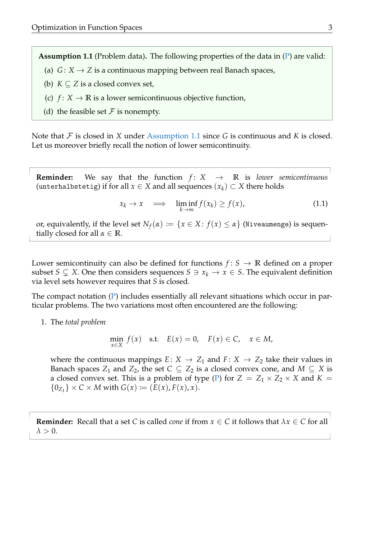<span id="page-6-0"></span>**Assumption 1.1** (Problem data)**.** The following properties of the data in [\(P\)](#page-5-0) are valid:

- (a)  $G: X \rightarrow Z$  is a continuous mapping between real Banach spaces,
- (b)  $K \subset Z$  is a closed convex set,
- (c)  $f: X \to \mathbb{R}$  is a lower semicontinuous objective function,
- (d) the feasible set  $\mathcal F$  is nonempty.

Note that F is closed in *X* under [Assumption 1.1](#page-6-0) since *G* is continuous and *K* is closed. Let us moreover briefly recall the notion of lower semicontinuity.

**Reminder:** We say that the function  $f: X \rightarrow \mathbb{R}$  is *lower semicontinuous* (unterhalbstetig) if for all  $x \in X$  and all sequences  $(x_k) \subset X$  there holds

$$
x_k \to x \quad \Longrightarrow \quad \liminf_{k \to \infty} f(x_k) \ge f(x), \tag{1.1}
$$

or, equivalently, if the level set  $N_f(\alpha) := \{x \in X : f(x) \leq \alpha\}$  (Niveaumenge) is sequentially closed for all  $\alpha \in \mathbb{R}$ .

Lower semicontinuity can also be defined for functions  $f: S \to \mathbb{R}$  defined on a proper subset *S*  $\subsetneq$  *X*. One then considers sequences *S*  $\supset \{x_k \to x \in S\}$ . The equivalent definition via level sets however requires that *S* is closed.

The compact notation [\(P\)](#page-5-0) includes essentially all relevant situations which occur in particular problems. The two variations most often encountered are the following:

1. The *total problem*

$$
\min_{x \in X} f(x) \quad \text{s.t.} \quad E(x) = 0, \quad F(x) \in C, \quad x \in M,
$$

where the continuous mappings  $E: X \rightarrow Z_1$  and  $F: X \rightarrow Z_2$  take their values in Banach spaces  $Z_1$  and  $Z_2$ , the set  $C \subseteq Z_2$  is a closed convex cone, and  $M \subseteq X$  is a closed convex set. This is a problem of type [\(P\)](#page-5-0) for  $Z = Z_1 \times Z_2 \times X$  and  $K =$  ${0_{Z_1}} \times C \times M$  with  $G(x) := (E(x), F(x), x)$ .

**Reminder:** Recall that a set *C* is called *cone* if from  $x \in C$  it follows that  $\lambda x \in C$  for all  $\lambda > 0$ .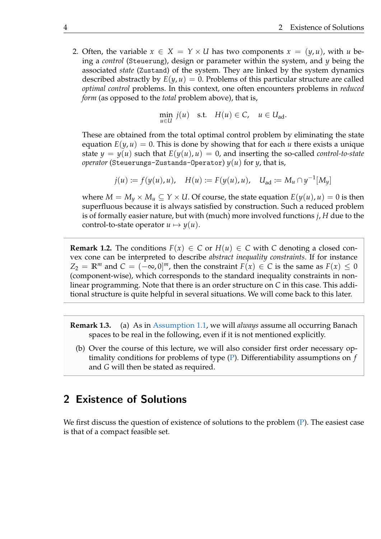2. Often, the variable  $x \in X = Y \times U$  has two components  $x = (y, u)$ , with *u* being a *control* (Steuerung), design or parameter within the system, and *y* being the associated *state* (Zustand) of the system. They are linked by the system dynamics described abstractly by  $E(y, u) = 0$ . Problems of this particular structure are called *optimal control* problems. In this context, one often encounters problems in *reduced form* (as opposed to the *total* problem above), that is,

$$
\min_{u \in U} j(u) \quad \text{s.t.} \quad H(u) \in C, \quad u \in U_{\text{ad}}.
$$

These are obtained from the total optimal control problem by eliminating the state equation  $E(y, u) = 0$ . This is done by showing that for each *u* there exists a unique state  $y = y(u)$  such that  $E(y(u), u) = 0$ , and inserting the so-called *control-to-state operator* (Steuerungs-Zustands-Operator) *y*(*u*) for *y*, that is,

$$
j(u) := f(y(u), u), \quad H(u) := F(y(u), u), \quad U_{ad} := M_u \cap y^{-1}[M_y]
$$

where  $M = M_y \times M_u \subseteq Y \times U$ . Of course, the state equation  $E(y(u), u) = 0$  is then superfluous because it is always satisfied by construction. Such a reduced problem is of formally easier nature, but with (much) more involved functions *j*, *H* due to the control-to-state operator  $u \mapsto y(u)$ .

**Remark 1.2.** The conditions  $F(x) \in C$  or  $H(u) \in C$  with *C* denoting a closed convex cone can be interpreted to describe *abstract inequality constraints*. If for instance  $Z_2 = \mathbb{R}^m$  and  $C = (-\infty, 0]^m$ , then the constraint  $F(x) \in C$  is the same as  $F(x) \leq 0$ (component-wise), which corresponds to the standard inequality constraints in nonlinear programming. Note that there is an order structure on *C* in this case. This additional structure is quite helpful in several situations. We will come back to this later.

**Remark 1.3.** (a) As in [Assumption 1.1,](#page-6-0) we will *always* assume all occurring Banach spaces to be real in the following, even if it is not mentioned explicitly.

(b) Over the course of this lecture, we will also consider first order necessary optimality conditions for problems of type [\(P\)](#page-5-0). Differentiability assumptions on *f* and *G* will then be stated as required.

# 2 Existence of Solutions

We first discuss the question of existence of solutions to the problem [\(P\)](#page-5-0). The easiest case is that of a compact feasible set.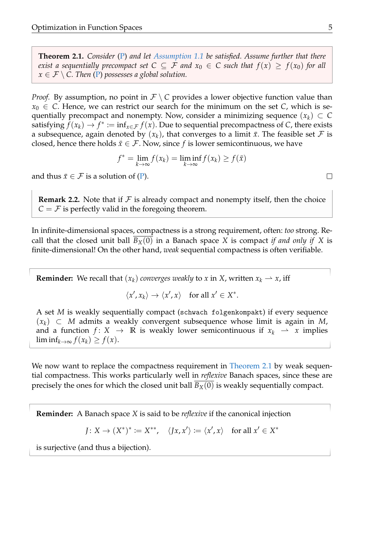<span id="page-8-0"></span>**Theorem 2.1.** *Consider* [\(P\)](#page-5-0) *and let [Assumption 1.1](#page-6-0) be satisfied. Assume further that there exist a sequentially precompact set*  $C \subseteq F$  *and*  $x_0 \in C$  *such that*  $f(x) \geq f(x_0)$  *for all*  $x \in \mathcal{F} \setminus C$ . Then [\(P\)](#page-5-0) possesses a global solution.

*Proof.* By assumption, no point in  $\mathcal{F} \setminus C$  provides a lower objective function value than  $x_0 \in C$ . Hence, we can restrict our search for the minimum on the set *C*, which is sequentially precompact and nonempty. Now, consider a minimizing sequence  $(x_k) \subset C$ satisfying  $\tilde{f}(x_k) \to f^* \coloneqq \inf_{x \in \mathcal{F}} f(x)$ . Due to sequential precompactness of *C*, there exists a subsequence, again denoted by  $(x_k)$ , that converges to a limit  $\bar{x}$ . The feasible set  $\mathcal F$  is closed, hence there holds  $\bar{x} \in \mathcal{F}$ . Now, since *f* is lower semicontinuous, we have

$$
f^* = \lim_{k \to \infty} f(x_k) = \liminf_{k \to \infty} f(x_k) \ge f(\bar{x})
$$

and thus  $\bar{x} \in \mathcal{F}$  is a solution of [\(P\)](#page-5-0).

<span id="page-8-1"></span>**Remark 2.2.** Note that if  $\mathcal F$  is already compact and nonempty itself, then the choice  $C = F$  is perfectly valid in the foregoing theorem.

In infinite-dimensional spaces, compactness is a strong requirement, often: *too* strong. Recall that the closed unit ball  $B_X(0)$  in a Banach space X is compact *if and only if* X is finite-dimensional! On the other hand, *weak* sequential compactness is often verifiable.

**Reminder:** We recall that  $(x_k)$  *converges weakly* to *x* in *X*, written  $x_k \rightharpoonup x$ , iff

$$
\langle x', x_k \rangle \to \langle x', x \rangle \quad \text{for all } x' \in X^*.
$$

A set *M* is weakly sequentially compact (schwach folgenkompakt) if every sequence (*xk*) ⊂ *M* admits a weakly convergent subsequence whose limit is again in *M*, and a function  $f: X \to \mathbb{R}$  is weakly lower semicontinuous if  $x_k \to x$  implies  $\liminf_{k\to\infty} f(x_k) \geq f(x)$ .

We now want to replace the compactness requirement in [Theorem 2.1](#page-8-0) by weak sequential compactness. This works particularly well in *reflexive* Banach spaces, since these are precisely the ones for which the closed unit ball  $B_X(0)$  is weakly sequentially compact.

**Reminder:** A Banach space *X* is said to be *reflexive* if the canonical injection

$$
J: X \to (X^*)^* := X^{**}, \quad \langle Jx, x' \rangle := \langle x', x \rangle \quad \text{for all } x' \in X^*
$$

is surjective (and thus a bijection).

 $\Box$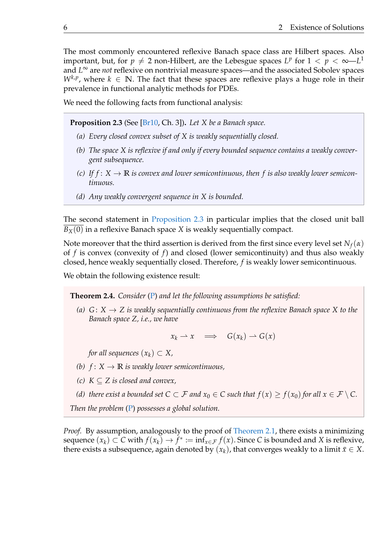The most commonly encountered reflexive Banach space class are Hilbert spaces. Also important, but, for  $p \neq 2$  non-Hilbert, are the Lebesgue spaces  $L^p$  for  $1 < p < \infty$ — $L^1$ and *L* <sup>∞</sup> are *not* reflexive on nontrivial measure spaces—and the associated Sobolev spaces  $W^{k,p}$ , where  $k \in \mathbb{N}$ . The fact that these spaces are reflexive plays a huge role in their prevalence in functional analytic methods for PDEs.

We need the following facts from functional analysis:

**Proposition 2.3** (See [\[Br10,](#page-51-0) Ch. 3])**.** *Let X be a Banach space.*

- *(a) Every closed convex subset of X is weakly sequentially closed.*
- *(b) The space X is reflexive if and only if every bounded sequence contains a weakly convergent subsequence.*
- <span id="page-9-2"></span>*(c)* If  $f: X \to \mathbb{R}$  *is convex and lower semicontinuous, then* f *is also weakly lower semicontinuous.*
- <span id="page-9-0"></span>*(d) Any weakly convergent sequence in X is bounded.*

The second statement in [Proposition 2.3](#page-9-0) in particular implies that the closed unit ball  $B_X(0)$  in a reflexive Banach space *X* is weakly sequentially compact.

Note moreover that the third assertion is derived from the first since every level set  $N_f(\alpha)$ of *f* is convex (convexity of *f*) and closed (lower semicontinuity) and thus also weakly closed, hence weakly sequentially closed. Therefore, *f* is weakly lower semicontinuous.

<span id="page-9-1"></span>We obtain the following existence result:

**Theorem 2.4.** *Consider* [\(P\)](#page-5-0) *and let the following assumptions be satisfied:*

*(a)*  $G: X \rightarrow Z$  *is weakly sequentially continuous from the reflexive Banach space* X to the *Banach space Z, i.e., we have*

 $x_k \rightharpoonup x \implies G(x_k) \rightharpoonup G(x)$ 

*for all sequences*  $(x_k) \subset X$ ,

- *(b)*  $f: X \to \mathbb{R}$  *is weakly lower semicontinuous,*
- *(c)*  $K \subseteq Z$  *is closed and convex,*
- *(d) there exist a bounded set*  $C \subset F$  *and*  $x_0 \in C$  *such that*  $f(x) \ge f(x_0)$  *for all*  $x \in F \setminus C$ *.*

*Then the problem* [\(P\)](#page-5-0) *possesses a global solution.*

*Proof.* By assumption, analogously to the proof of [Theorem 2.1,](#page-8-0) there exists a minimizing sequence  $(x_k) \subset C$  with  $f(x_k) \to f^* := \inf_{x \in \mathcal{F}} f(x)$ . Since *C* is bounded and *X* is reflexive, there exists a subsequence, again denoted by  $(x_k)$ , that converges weakly to a limit  $\bar{x} \in X$ .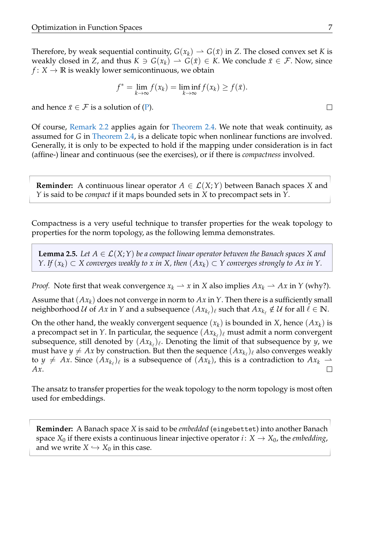Therefore, by weak sequential continuity,  $G(x_k) \to G(\bar{x})$  in *Z*. The closed convex set *K* is weakly closed in *Z*, and thus  $K \ni G(x_k) \to G(\bar{x}) \in K$ . We conclude  $\bar{x} \in \mathcal{F}$ . Now, since  $f: X \to \mathbb{R}$  is weakly lower semicontinuous, we obtain

$$
f^* = \lim_{k \to \infty} f(x_k) = \liminf_{k \to \infty} f(x_k) \ge f(\bar{x}).
$$

and hence  $\bar{x} \in \mathcal{F}$  is a solution of [\(P\)](#page-5-0).

Of course, [Remark 2.2](#page-8-1) applies again for [Theorem 2.4.](#page-9-1) We note that weak continuity, as assumed for *G* in [Theorem 2.4,](#page-9-1) is a delicate topic when nonlinear functions are involved. Generally, it is only to be expected to hold if the mapping under consideration is in fact (affine-) linear and continuous (see the exercises), or if there is *compactness* involved.

**Reminder:** A continuous linear operator  $A \in \mathcal{L}(X;Y)$  between Banach spaces X and *Y* is said to be *compact* if it maps bounded sets in *X* to precompact sets in *Y*.

Compactness is a very useful technique to transfer properties for the weak topology to properties for the norm topology, as the following lemma demonstrates.

<span id="page-10-0"></span>**Lemma 2.5.** Let  $A \in \mathcal{L}(X;Y)$  be a compact linear operator between the Banach spaces X and *Y.* If  $(x_k)$  ⊂ *X* converges weakly to *x* in *X*, then  $(Ax_k)$  ⊂ *Y* converges strongly to *Ax* in *Y*.

*Proof.* Note first that weak convergence  $x_k \rightharpoonup x$  in *X* also implies  $Ax_k \rightharpoonup Ax$  in *Y* (why?).

Assume that (*Axk*) does not converge in norm to *Ax* in *Y*. Then there is a sufficiently small neighborhood  $\mathcal U$  of  $Ax$  in  $Y$  and a subsequence  $(Ax_{k_\ell})_\ell$  such that  $Ax_{k_\ell}\notin\mathcal U$  for all  $\ell\in\mathbb N.$ 

On the other hand, the weakly convergent sequence  $(x_k)$  is bounded in *X*, hence  $(Ax_k)$  is a precompact set in *Y*. In particular, the sequence  $(Ax_{k_\ell})_\ell$  must admit a norm convergent subsequence, still denoted by  $(Ax_{k_\ell})_\ell$ . Denoting the limit of that subsequence by *y*, we must have  $y \neq Ax$  by construction. But then the sequence  $(Ax_{k_\ell})_\ell$  also converges weakly to  $y \neq Ax$ . Since  $(Ax_{k_\ell})_\ell$  is a subsequence of  $(Ax_k)$ , this is a contradiction to  $Ax_k \rightharpoonup$ *Ax*.  $\Box$ 

The ansatz to transfer properties for the weak topology to the norm topology is most often used for embeddings.

**Reminder:** A Banach space *X* is said to be *embedded* (eingebettet) into another Banach space  $X_0$  if there exists a continuous linear injective operator *i* :  $X \to X_0$ , the *embedding*, and we write  $X \hookrightarrow X_0$  in this case.

 $\Box$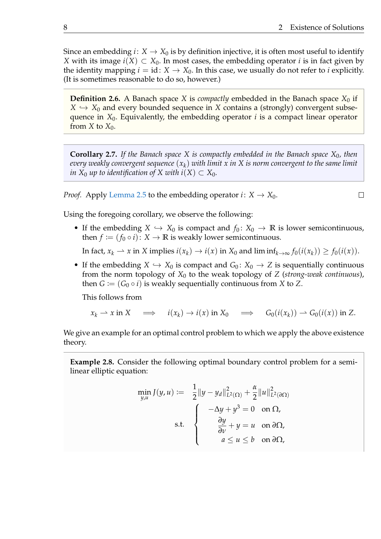$\Box$ 

Since an embedding  $i: X \to X_0$  is by definition injective, it is often most useful to identify *X* with its image  $i(X)$  ⊂  $X_0$ . In most cases, the embedding operator *i* is in fact given by the identity mapping  $i = id$ :  $X \to X_0$ . In this case, we usually do not refer to *i* explicitly. (It is sometimes reasonable to do so, however.)

**Definition 2.6.** A Banach space *X* is *compactly* embedded in the Banach space  $X_0$  if  $X \hookrightarrow X_0$  and every bounded sequence in *X* contains a (strongly) convergent subsequence in *X*0. Equivalently, the embedding operator *i* is a compact linear operator from *X* to  $X_0$ .

<span id="page-11-0"></span>**Corollary 2.7.** *If the Banach space X is compactly embedded in the Banach space X*0*, then every weakly convergent sequence* (*xk*) *with limit x in X is norm convergent to the same limit in*  $X_0$  *up to identification of*  $X$  *with i*( $X$ )  $\subset X_0$ *.* 

*Proof.* Apply [Lemma 2.5](#page-10-0) to the embedding operator  $i: X \to X_0$ .

Using the foregoing corollary, we observe the following:

• If the embedding  $X \hookrightarrow X_0$  is compact and  $f_0: X_0 \to \mathbb{R}$  is lower semicontinuous, then  $f \coloneqq (f_0 \circ i) : X \to \mathbb{R}$  is weakly lower semicontinuous.

In fact,  $x_k \rightharpoonup x$  in *X* implies  $i(x_k) \rightarrow i(x)$  in  $X_0$  and lim  $\inf_{k \rightarrow \infty} f_0(i(x_k)) \geq f_0(i(x))$ .

• If the embedding  $X \hookrightarrow X_0$  is compact and  $G_0: X_0 \to Z$  is sequentially continuous from the norm topology of *X*<sup>0</sup> to the weak topology of *Z* (*strong-weak continuous*), then  $G := (G_0 \circ i)$  is weakly sequentially continuous from *X* to *Z*.

This follows from

$$
x_k \rightharpoonup x \text{ in } X \quad \Longrightarrow \quad i(x_k) \to i(x) \text{ in } X_0 \quad \Longrightarrow \quad G_0(i(x_k)) \rightharpoonup G_0(i(x)) \text{ in } Z.
$$

We give an example for an optimal control problem to which we apply the above existence theory.

<span id="page-11-1"></span>**Example 2.8.** Consider the following optimal boundary control problem for a semilinear elliptic equation:

$$
\min_{y,u} J(y,u) := \frac{1}{2} ||y - y_d||_{L^2(\Omega)}^2 + \frac{\alpha}{2} ||u||_{L^2(\partial \Omega)}^2
$$
\n
$$
\text{s.t.} \quad \begin{cases}\n-\Delta y + y^3 = 0 & \text{on } \Omega, \\
\frac{\partial y}{\partial v} + y = u & \text{on } \partial \Omega, \\
a \le u \le b & \text{on } \partial \Omega,\n\end{cases}
$$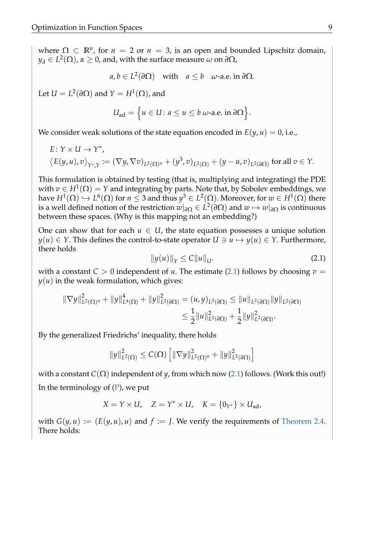where  $\Omega \subset \mathbb{R}^n$ , for  $n = 2$  or  $n = 3$ , is an open and bounded Lipschitz domain,  $y_d \in L^2(\Omega)$ ,  $\alpha \geq 0$ , and, with the surface measure  $\omega$  on  $\partial \Omega$ ,

$$
a, b \in L^2(\partial \Omega)
$$
 with  $a \leq b$   $\omega$ -a.e. in  $\partial \Omega$ .

Let  $U = L^2(\partial \Omega)$  and  $Y = H^1(\Omega)$ , and

$$
U_{\text{ad}} = \Big\{ u \in U \colon a \leq u \leq b \text{ } \omega\text{-a.e. in } \partial\Omega \Big\}.
$$

We consider weak solutions of the state equation encoded in  $E(y, u) = 0$ , i.e.,

E: 
$$
Y \times U \to Y^*
$$
,  
\n $\langle E(y, u), v \rangle_{Y^*,Y} := (\nabla y, \nabla v)_{L^2(\Omega)^n} + (y^3, v)_{L^2(\Omega)} + (y - u, v)_{L^2(\partial \Omega)}$  for all  $v \in Y$ .

This formulation is obtained by testing (that is, multiplying and integrating) the PDE with  $v \in H^1(\Omega) = Y$  and integrating by parts. Note that, by Sobolev embeddings, we have  $H^1(\Omega) \hookrightarrow L^6(\Omega)$  for  $n \leq 3$  and thus  $y^3 \in L^2(\Omega).$  Moreover, for  $w \in H^1(\Omega)$  there is a well defined notion of the restriction  $w|_{\partial\Omega}\in L^2(\partial\Omega)$  and  $w\mapsto w|_{\partial\Omega}$  is continuous between these spaces. (Why is this mapping not an embedding?)

One can show that for each  $u \in U$ , the state equation possesses a unique solution *y*(*u*) ∈ *Y*. This defines the control-to-state operator *U*  $\ni$  *u*  $\mapsto$  *y*(*u*) ∈ *Y*. Furthermore, there holds

<span id="page-12-0"></span>
$$
||y(u)||_{Y} \le C||u||_{U}.
$$
 (2.1)

with a constant  $C > 0$  independent of *u*. The estimate [\(2.1\)](#page-12-0) follows by choosing  $v =$  $y(u)$  in the weak formulation, which gives:

$$
\|\nabla y\|_{L^2(\Omega)}^2 + \|y\|_{L^4(\Omega)}^4 + \|y\|_{L^2(\partial\Omega)}^2 = (u, y)_{L^2(\partial\Omega)} \le \|u\|_{L^2(\partial\Omega)} \|y\|_{L^2(\partial\Omega)}
$$
  

$$
\le \frac{1}{2} \|u\|_{L^2(\partial\Omega)}^2 + \frac{1}{2} \|y\|_{L^2(\partial\Omega)}^2.
$$

By the generalized Friedrichs' inequality, there holds

$$
||y||_{L^{2}(\Omega)}^{2} \leq C(\Omega) \left[ ||\nabla y||_{L^{2}(\Omega)^{n}}^{2} + ||y||_{L^{2}(\partial\Omega)}^{2} \right]
$$

with a constant *C*( $\Omega$ ) independent of *y*, from which now [\(2.1\)](#page-12-0) follows. (Work this out!) In the terminology of  $(P)$ , we put

$$
X = Y \times U, \quad Z = Y^* \times U, \quad K = \{0_{Y^*}\} \times U_{ad},
$$

with  $G(y, u) := (E(y, u), u)$  and  $f := J$ . We verify the requirements of [Theorem 2.4.](#page-9-1) There holds: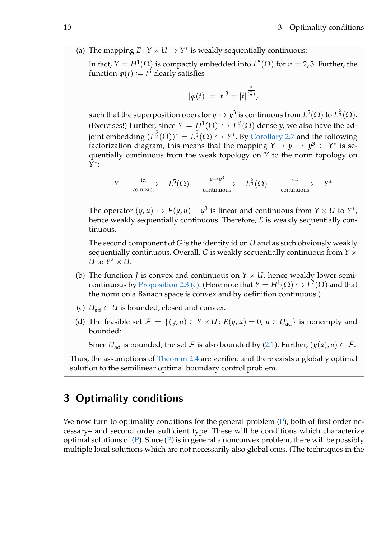(a) The mapping  $E: Y \times U \rightarrow Y^*$  is weakly sequentially continuous:

In fact,  $Y = H^1(\Omega)$  is compactly embedded into  $L^5(\Omega)$  for  $n = 2, 3$ . Further, the function  $\varphi(t) \coloneqq t^3$  clearly satisfies

$$
|\varphi(t)| = |t|^3 = |t|^{\frac{5}{(\frac{5}{3})}},
$$

such that the superposition operator  $y\mapsto y^3$  is continuous from  $L^5(\Omega)$  to  $L^{\frac{5}{3}}(\Omega).$ (Exercises!) Further, since  $Y = H^1(\Omega) \hookrightarrow L^{\frac{5}{2}}(\Omega)$  densely, we also have the adjoint embedding  $(L^{\frac{5}{2}}(\Omega))^* = L^{\frac{5}{3}}(\Omega) \hookrightarrow Y^*$ . By [Corollary 2.7](#page-11-0) and the following factorization diagram, this means that the mapping  $Y \ni y \mapsto y^3 \in Y^*$  is sequentially continuous from the weak topology on *Y* to the norm topology on *Y* ∗ :

$$
Y \xrightarrow{\text{id}} L^{5}(\Omega) \xrightarrow{\text{y} \mapsto y^{3}} L^{\frac{5}{3}}(\Omega) \xrightarrow{\longrightarrow} Y^{*}
$$

The operator  $(y, u) \mapsto E(y, u) - y^3$  is linear and continuous from  $Y \times U$  to  $Y^*$ , hence weakly sequentially continuous. Therefore, *E* is weakly sequentially continuous.

The second component of *G* is the identity id on *U* and as such obviously weakly sequentially continuous. Overall, *G* is weakly sequentially continuous from *Y* × *U* to  $Y^* \times U$ .

- (b) The function *J* is convex and continuous on  $Y \times U$ , hence weakly lower semi-continuous by [Proposition 2.3](#page-9-0) [\(c\).](#page-9-2) (Here note that  $Y = H^1(\Omega) \hookrightarrow L^2(\Omega)$  and that the norm on a Banach space is convex and by definition continuous.)
- (c)  $U_{\text{ad}} \subset U$  is bounded, closed and convex.
- (d) The feasible set  $\mathcal{F} = \{(y, u) \in Y \times U : E(y, u) = 0, u \in U_{ad}\}\)$  is nonempty and bounded:

Since *U*<sub>ad</sub> is bounded, the set *F* is also bounded by [\(2.1\)](#page-12-0). Further,  $(y(a), a) \in \mathcal{F}$ .

Thus, the assumptions of [Theorem 2.4](#page-9-1) are verified and there exists a globally optimal solution to the semilinear optimal boundary control problem.

# 3 Optimality conditions

We now turn to optimality conditions for the general problem [\(P\)](#page-5-0), both of first order necessary– and second order sufficient type. These will be conditions which characterize optimal solutions of  $(P)$ . Since  $(P)$  is in general a nonconvex problem, there will be possibly multiple local solutions which are not necessarily also global ones. (The techniques in the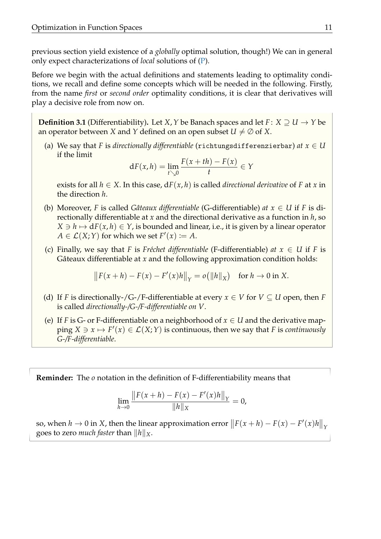previous section yield existence of a *globally* optimal solution, though!) We can in general only expect characterizations of *local* solutions of [\(P\)](#page-5-0).

Before we begin with the actual definitions and statements leading to optimality conditions, we recall and define some concepts which will be needed in the following. Firstly, from the name *first* or *second order* optimality conditions, it is clear that derivatives will play a decisive role from now on.

**Definition 3.1** (Differentiability). Let *X*, *Y* be Banach spaces and let *F* : *X*  $\supseteq U \rightarrow Y$  be an operator between *X* and *Y* defined on an open subset  $U \neq \emptyset$  of *X*.

(a) We say that *F* is *directionally differentiable* (richtungsdifferenzierbar) *at*  $x \in U$ if the limit

$$
dF(x,h) = \lim_{t \searrow 0} \frac{F(x+th) - F(x)}{t} \in Y
$$

exists for all  $h \in X$ . In this case,  $dF(x, h)$  is called *directional derivative* of F at *x* in the direction *h*.

- (b) Moreover, *F* is called *Gâteaux differentiable* (G-differentiable) *at*  $x \in U$  if *F* is directionally differentiable at *x* and the directional derivative as a function in *h*, so  $X \ni h \mapsto dF(x, h) \in Y$ , is bounded and linear, i.e., it is given by a linear operator  $A \in \mathcal{L}(X;Y)$  for which we set  $F'(x) := A$ .
- (c) Finally, we say that *F* is *Fréchet differentiable* (F-differentiable) *at*  $x \in U$  if *F* is Gâteaux differentiable at x and the following approximation condition holds:

$$
||F(x+h) - F(x) - F'(x)h||_Y = o(||h||_X)
$$
 for  $h \to 0$  in X.

- (d) If *F* is directionally-/G-/F-differentiable at every  $x \in V$  for  $V \subseteq U$  open, then *F* is called *directionally-/G-/F-differentiable on V*.
- (e) If *F* is *G* or F-differentiable on a neighborhood of  $x \in U$  and the derivative map- $\text{ping } X \ni x \mapsto F'(x) \in \mathcal{L}(X;Y)$  is continuous, then we say that *F* is *continuously G-/F-differentiable*.

**Reminder:** The *o* notation in the definition of F-differentiability means that

$$
\lim_{h \to 0} \frac{\|F(x+h) - F(x) - F'(x)h\|_Y}{\|h\|_X} = 0,
$$

so, when  $h \to 0$  in *X*, then the linear approximation error  $||F(x+h) - F(x) - F'(x)h||_Y$ goes to zero *much faster* than  $\|h\|_X$ .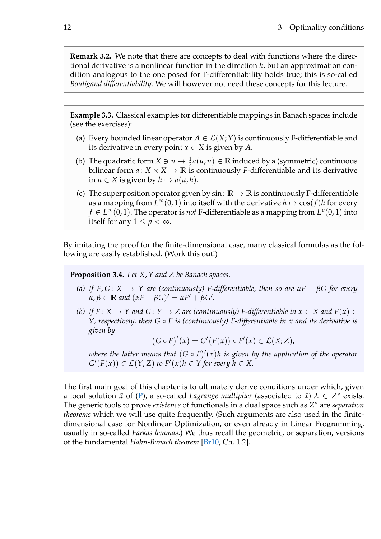**Remark 3.2.** We note that there are concepts to deal with functions where the directional derivative is a nonlinear function in the direction *h*, but an approximation condition analogous to the one posed for F-differentiability holds true; this is so-called *Bouligand differentiability*. We will however not need these concepts for this lecture.

**Example 3.3.** Classical examples for differentiable mappings in Banach spaces include (see the exercises):

- (a) Every bounded linear operator  $A \in \mathcal{L}(X;Y)$  is continuously F-differentiable and its derivative in every point  $x \in X$  is given by A.
- (b) The quadratic form  $X \ni u \mapsto \frac{1}{2}a(u, u) \in \mathbb{R}$  induced by a (symmetric) continuous bilinear form  $a: X \times X \rightarrow \mathbb{R}$  is continuously *F*-differentiable and its derivative in  $u \in X$  is given by  $h \mapsto a(u, h)$ .
- (c) The superposition operator given by  $\sin: \mathbb{R} \to \mathbb{R}$  is continuously F-differentiable as a mapping from  $L^{\infty}(0, 1)$  into itself with the derivative  $h \mapsto \cos(f)h$  for every  $f \in L^\infty(0,1).$  The operator is *not* F-differentiable as a mapping from  $L^p(0,1)$  into itself for any  $1 \leq p < \infty$ .

By imitating the proof for the finite-dimensional case, many classical formulas as the following are easily established. (Work this out!)

**Proposition 3.4.** *Let X*,*Y and Z be Banach spaces.*

- *(a) If F*, *G* : *X* → *Y are (continuously) F-differentiable, then so are αF* + *βG for every*  $\alpha, \beta \in \mathbb{R}$  *and*  $(\alpha F + \beta G)' = \alpha F' + \beta G'.$
- *(b)* If  $F: X \to Y$  and  $G: Y \to Z$  are (continuously) F-differentiable in  $x \in X$  and  $F(x) \in Z$ *Y, respectively, then G* ◦ *F is (continuously) F-differentiable in x and its derivative is given by*

 $(G \circ F)'(x) = G'(F(x)) \circ F'(x) \in \mathcal{L}(X; Z),$ 

where the latter means that  $(G \circ F)'(x)h$  is given by the application of the operator  $G'(F(x)) \in \mathcal{L}(Y; Z)$  *to*  $F'(x)h \in Y$  *for every*  $h \in X$ .

The first main goal of this chapter is to ultimately derive conditions under which, given a local solution  $\bar{x}$  of [\(P\)](#page-5-0), a so-called *Lagrange multiplier* (associated to  $\bar{x}$ )  $\bar{\lambda} \in Z^*$  exists. The generic tools to prove *existence* of functionals in a dual space such as *Z* <sup>∗</sup> are *separation theorems* which we will use quite frequently. (Such arguments are also used in the finitedimensional case for Nonlinear Optimization, or even already in Linear Programming, usually in so-called *Farkas lemmas*.) We thus recall the geometric, or separation, versions of the fundamental *Hahn-Banach theorem* [\[Br10,](#page-51-0) Ch. 1.2].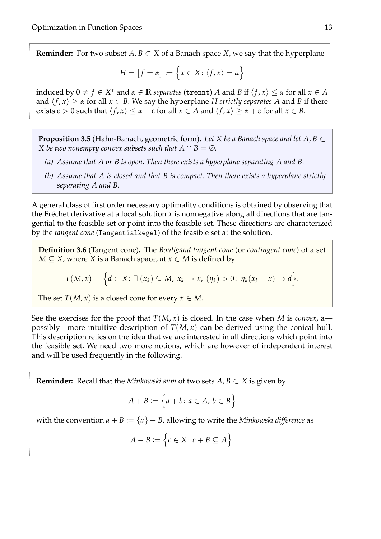**Reminder:** For two subset  $A, B \subset X$  of a Banach space *X*, we say that the hyperplane

$$
H = [f = \alpha] := \{x \in X : \langle f, x \rangle = \alpha\}
$$

induced by  $0 \neq f \in X^*$  and  $\alpha \in \mathbb{R}$  *separates* (trennt) *A* and *B* if  $\langle f, x \rangle \leq \alpha$  for all  $x \in A$ and  $\langle f, x \rangle \ge \alpha$  for all  $x \in B$ . We say the hyperplane *H* strictly separates *A* and *B* if there exists  $\varepsilon > 0$  such that  $\langle f, x \rangle \leq \alpha - \varepsilon$  for all  $x \in A$  and  $\langle f, x \rangle \geq \alpha + \varepsilon$  for all  $x \in B$ .

<span id="page-16-0"></span>**Proposition 3.5** (Hahn-Banach, geometric form)**.** *Let X be a Banach space and let A*, *B* ⊂ *X* be two nonempty convex subsets such that  $A \cap B = \emptyset$ .

- *(a) Assume that A or B is open. Then there exists a hyperplane separating A and B.*
- *(b) Assume that A is closed and that B is compact. Then there exists a hyperplane strictly separating A and B.*

A general class of first order necessary optimality conditions is obtained by observing that the Fréchet derivative at a local solution  $\bar{x}$  is nonnegative along all directions that are tangential to the feasible set or point into the feasible set. These directions are characterized by the *tangent cone* (Tangentialkegel) of the feasible set at the solution.

**Definition 3.6** (Tangent cone)**.** The *Bouligand tangent cone* (or *contingent cone*) of a set *M* ⊆ *X*, where *X* is a Banach space, at *x* ∈ *M* is defined by

$$
T(M,x) = \Big\{d \in X \colon \exists \ (x_k) \subseteq M, \ x_k \to x, \ (\eta_k) > 0 \colon \eta_k(x_k - x) \to d \Big\}.
$$

The set  $T(M, x)$  is a closed cone for every  $x \in M$ .

See the exercises for the proof that  $T(M, x)$  is closed. In the case when M is *convex*, a possibly—more intuitive description of  $T(M, x)$  can be derived using the conical hull. This description relies on the idea that we are interested in all directions which point into the feasible set. We need two more notions, which are however of independent interest and will be used frequently in the following.

**Reminder:** Recall that the *Minkowski sum* of two sets  $A, B \subset X$  is given by

$$
A + B := \left\{ a + b : a \in A, b \in B \right\}
$$

with the convention  $a + B := \{a\} + B$ , allowing to write the *Minkowski difference* as

$$
A - B := \Big\{ c \in X \colon c + B \subseteq A \Big\}.
$$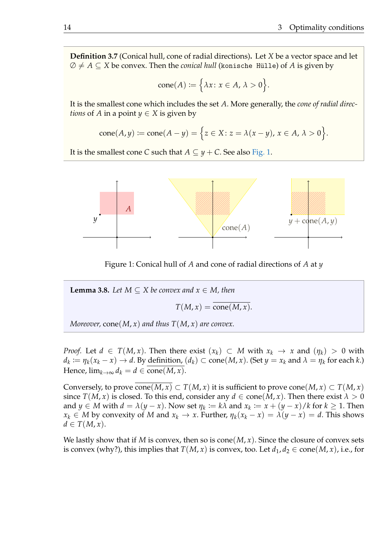**Definition 3.7** (Conical hull, cone of radial directions)**.** Let *X* be a vector space and let  $\emptyset \neq A \subseteq X$  be convex. Then the *conical hull* (konische Hülle) of *A* is given by

$$
cone(A) := \Big\{\lambda x \colon x \in A, \, \lambda > 0\Big\}.
$$

It is the smallest cone which includes the set *A*. More generally, the *cone of radial directions* of *A* in a point  $y \in X$  is given by

$$
cone(A,y) := cone(A-y) = \Big\{ z \in X \colon z = \lambda(x-y), x \in A, \, \lambda > 0 \Big\}.
$$

It is the smallest cone *C* such that  $A \subseteq y + C$ . See also [Fig. 1.](#page-17-0)



<span id="page-17-0"></span>Figure 1: Conical hull of *A* and cone of radial directions of *A* at *y*

<span id="page-17-1"></span>**Lemma 3.8.** *Let*  $M \subseteq X$  *be convex and*  $x \in M$ *, then*  $T(M, x) = \overline{\text{cone}(M, x)}$ .

*Moreover,* cone(*M*, *x*) and thus  $T(M, x)$  are convex.

*Proof.* Let  $d \in T(M, x)$ . Then there exist  $(x_k) \subset M$  with  $x_k \to x$  and  $(\eta_k) > 0$  with  $d_k := \eta_k(x_k - x) \to d$ . By definition,  $(d_k) \subset \text{cone}(M, x)$ . (Set  $y = x_k$  and  $\lambda = \eta_k$  for each  $k$ .) Hence,  $\lim_{k\to\infty} d_k = d \in \text{cone}(M, x)$ .

Conversely, to prove cone(*M*, *x*) ⊂ *T*(*M*, *x*) it is sufficient to prove cone(*M*, *x*) ⊂ *T*(*M*, *x*) since  $T(M, x)$  is closed. To this end, consider any  $d \in \text{cone}(M, x)$ . Then there exist  $\lambda > 0$ and  $y \in M$  with  $d = \lambda(y - x)$ . Now set  $\eta_k := k\lambda$  and  $x_k := x + (y - x)/k$  for  $k \ge 1$ . Then  $x_k \in M$  by convexity of *M* and  $x_k \to x$ . Further,  $\eta_k(x_k - x) = \lambda(y - x) = d$ . This shows  $d \in T(M, x)$ .

We lastly show that if *M* is convex, then so is cone $(M, x)$ . Since the closure of convex sets is convex (why?), this implies that  $T(M, x)$  is convex, too. Let  $d_1, d_2 \in \text{cone}(M, x)$ , i.e., for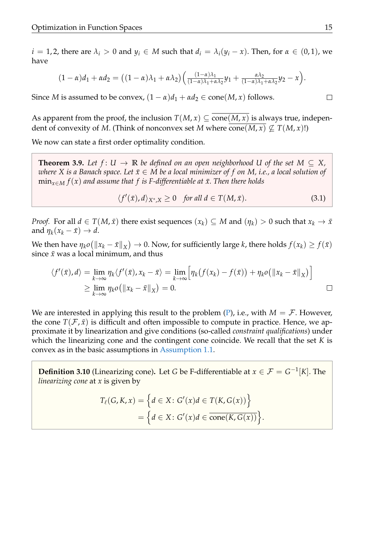$i = 1, 2$ , there are  $\lambda_i > 0$  and  $y_i \in M$  such that  $d_i = \lambda_i(y_i - x)$ . Then, for  $\alpha \in (0, 1)$ , we have

$$
(1-\alpha)d_1+\alpha d_2=\big((1-\alpha)\lambda_1+\alpha\lambda_2\big)\Big(\frac{(1-\alpha)\lambda_1}{(1-\alpha)\lambda_1+\alpha\lambda_2}y_1+\frac{\alpha\lambda_2}{(1-\alpha)\lambda_1+\alpha\lambda_2}y_2-x\Big).
$$

Since *M* is assumed to be convex,  $(1 - \alpha)d_1 + \alpha d_2 \in \text{cone}(M, x)$  follows.

As apparent from the proof, the inclusion  $T(M, x) \subseteq \text{cone}(M, x)$  is always true, independent of convexity of *M*. (Think of nonconvex set *M* where cone(*M*, *x*)  $\nsubseteq T(M, x)!$ )

We now can state a first order optimality condition.

<span id="page-18-1"></span>**Theorem 3.9.** Let  $f: U \to \mathbb{R}$  be defined on an open neighborhood U of the set  $M \subseteq X$ , *where X* is a Banach space. Let  $\bar{x} \in M$  be a local minimizer of f on M, i.e., a local solution of  $\min_{x \in M} f(x)$  *and assume that f is F-differentiable at x. Then there holds* 

<span id="page-18-0"></span>
$$
\langle f'(\bar{x}), d \rangle_{X^*, X} \ge 0 \quad \text{for all } d \in T(M, \bar{x}). \tag{3.1}
$$

.

*Proof.* For all  $d \in T(M, \bar{x})$  there exist sequences  $(x_k) \subseteq M$  and  $(\eta_k) > 0$  such that  $x_k \to \bar{x}$ and  $\eta_k(x_k - \bar{x}) \to d$ .

We then have  $\eta_k o(\|x_k - \bar{x}\|_X) \to 0$ . Now, for sufficiently large *k*, there holds  $f(x_k) \ge f(\bar{x})$ since  $\bar{x}$  was a local minimum, and thus

$$
\langle f'(\bar{x}), d \rangle = \lim_{k \to \infty} \eta_k \langle f'(\bar{x}), x_k - \bar{x} \rangle = \lim_{k \to \infty} \Big[ \eta_k \big( f(x_k) - f(\bar{x}) \big) + \eta_k o \big( \|x_k - \bar{x} \|_X \big) \Big]
$$
  
\n
$$
\geq \lim_{k \to \infty} \eta_k o \big( \|x_k - \bar{x} \|_X \big) = 0.
$$

We are interested in applying this result to the problem  $(P)$ , i.e., with  $M = \mathcal{F}$ . However, the cone  $T(\mathcal{F}, \bar{x})$  is difficult and often impossible to compute in practice. Hence, we approximate it by linearization and give conditions (so-called *constraint qualifications*) under which the linearizing cone and the contingent cone coincide. We recall that the set *K* is convex as in the basic assumptions in [Assumption 1.1.](#page-6-0)

**Definition 3.10** (Linearizing cone). Let *G* be F-differentiable at  $x \in \mathcal{F} = G^{-1}[K]$ . The *linearizing cone* at *x* is given by

$$
T_{\ell}(G, K, x) = \left\{ d \in X \colon G'(x)d \in T(K, G(x)) \right\}
$$

$$
= \left\{ d \in X \colon G'(x)d \in \overline{\text{cone}(K, G(x))} \right\}
$$

 $\Box$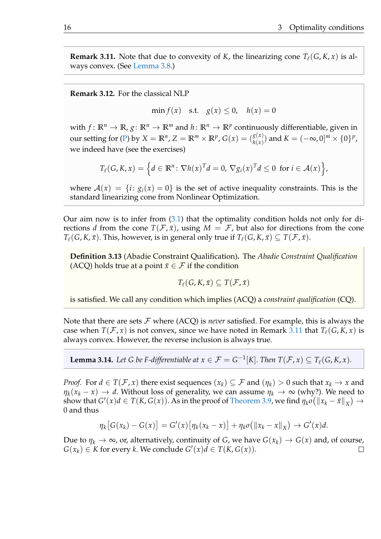<span id="page-19-0"></span>**Remark 3.11.** Note that due to convexity of *K*, the linearizing cone  $T_f(G, K, x)$  is always convex. (See [Lemma 3.8.](#page-17-1))

<span id="page-19-1"></span>**Remark 3.12.** For the classical NLP

min  $f(x)$  s.t.  $g(x) < 0$ ,  $h(x) = 0$ 

with  $f: \mathbb{R}^n \to \mathbb{R}$ ,  $g: \mathbb{R}^n \to \mathbb{R}^m$  and  $h: \mathbb{R}^n \to \mathbb{R}^p$  continuously differentiable, given in our setting for [\(P\)](#page-5-0) by  $X = \mathbb{R}^n$ ,  $Z = \mathbb{R}^m \times \mathbb{R}^p$ ,  $G(x) = \binom{g(x)}{h(x)}$  $_{h(x)}^{g(x)})$  and  $K=(-\infty,0]^m\times\{0\}^p$  , we indeed have (see the exercises)

$$
T_{\ell}(G,K,x) = \left\{ d \in \mathbb{R}^n \colon \nabla h(x)^T d = 0, \nabla g_i(x)^T d \leq 0 \text{ for } i \in \mathcal{A}(x) \right\},\
$$

where  $A(x) = \{i : g_i(x) = 0\}$  is the set of active inequality constraints. This is the standard linearizing cone from Nonlinear Optimization.

Our aim now is to infer from [\(3.1\)](#page-18-0) that the optimality condition holds not only for directions *d* from the cone  $T(\mathcal{F}, \bar{x})$ , using  $M = \mathcal{F}$ , but also for directions from the cone  $T_{\ell}(G, K, \bar{x})$ . This, however, is in general only true if  $T_{\ell}(G, K, \bar{x}) \subseteq T(\mathcal{F}, \bar{x})$ .

**Definition 3.13** (Abadie Constraint Qualification)**.** The *Abadie Constraint Qualification* (ACQ) holds true at a point  $\bar{x} \in \mathcal{F}$  if the condition

$$
T_{\ell}(G,K,\bar{x})\subseteq T(\mathcal{F},\bar{x})
$$

is satisfied. We call any condition which implies (ACQ) a *constraint qualification* (CQ).

Note that there are sets  $\mathcal F$  where (ACQ) is *never* satisfied. For example, this is always the case when  $T(F, x)$  is not convex, since we have noted in Remark [3.11](#page-19-0) that  $T_\ell(G, K, x)$  is always convex. However, the reverse inclusion is always true.

**Lemma 3.14.** Let G be F-differentiable at  $x \in \mathcal{F} = G^{-1}[K]$ . Then  $T(\mathcal{F}, x) \subseteq T_{\ell}(G, K, x)$ .

*Proof.* For  $d \in T(\mathcal{F}, x)$  there exist sequences  $(x_k) \subseteq \mathcal{F}$  and  $(\eta_k) > 0$  such that  $x_k \to x$  and  $\eta_k(x_k - x) \to d$ . Without loss of generality, we can assume  $\eta_k \to \infty$  (why?). We need to show that  $G'(x)d \in T(K,G(x))$ . As in the proof of [Theorem 3.9,](#page-18-1) we find  $\eta_k o(\|x_k - \bar{x}\|_X) \to$ 0 and thus

$$
\eta_k[G(x_k)-G(x)] = G'(x)\big[\eta_k(x_k-x)\big] + \eta_k o\big(\|x_k-x\|_X\big) \to G'(x)d.
$$

Due to  $\eta_k \to \infty$ , or, alternatively, continuity of *G*, we have  $G(x_k) \to G(x)$  and, of course,  $G(x_k) \in K$  for every *k*. We conclude  $G'(x)d \in T(K, G(x))$ . П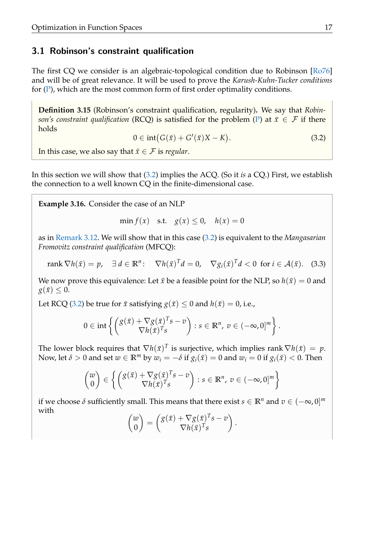## 3.1 Robinson's constraint qualification

The first CQ we consider is an algebraic-topological condition due to Robinson [\[Ro76\]](#page-51-6) and will be of great relevance. It will be used to prove the *Karush-Kuhn-Tucker conditions* for  $(P)$ , which are the most common form of first order optimality conditions.

**Definition 3.15** (Robinson's constraint qualification, regularity)**.** We say that *Robinson's constraint qualification* (RCQ) is satisfied for the problem [\(P\)](#page-5-0) at  $\bar{x} \in \mathcal{F}$  if there holds

<span id="page-20-0"></span>
$$
0 \in \operatorname{int}(G(\bar{x}) + G'(\bar{x})X - K). \tag{3.2}
$$

In this case, we also say that  $\bar{x} \in \mathcal{F}$  is *regular*.

In this section we will show that [\(3.2\)](#page-20-0) implies the ACQ. (So it *is* a CQ.) First, we establish the connection to a well known CQ in the finite-dimensional case.

**Example 3.16.** Consider the case of an NLP

$$
\min f(x) \quad \text{s.t.} \quad g(x) \le 0, \quad h(x) = 0
$$

as in [Remark 3.12.](#page-19-1) We will show that in this case [\(3.2\)](#page-20-0) is equivalent to the *Mangasarian Fromovitz constraint qualification* (MFCQ):

<span id="page-20-1"></span>rank 
$$
\nabla h(\bar{x}) = p
$$
,  $\exists d \in \mathbb{R}^n$ :  $\nabla h(\bar{x})^T d = 0$ ,  $\nabla g_i(\bar{x})^T d < 0$  for  $i \in \mathcal{A}(\bar{x})$ . (3.3)

We now prove this equivalence: Let  $\bar{x}$  be a feasible point for the NLP, so  $h(\bar{x}) = 0$  and  $g(\bar{x}) \leq 0$ .

Let RCQ [\(3.2\)](#page-20-0) be true for  $\bar{x}$  satisfying  $g(\bar{x}) \leq 0$  and  $h(\bar{x}) = 0$ , i.e.,

$$
0 \in \mathrm{int}\left\{ \begin{pmatrix} g(\bar{x}) + \nabla g(\bar{x})^T s - v \\ \nabla h(\bar{x})^T s \end{pmatrix} : s \in \mathbb{R}^n, v \in (-\infty, 0]^m \right\}.
$$

The lower block requires that  $\nabla h(\bar{x})^T$  is surjective, which implies rank  $\nabla h(\bar{x}) = p$ . Now, let  $\delta > 0$  and set  $w \in \mathbb{R}^m$  by  $w_i = -\delta$  if  $g_i(\bar{x}) = 0$  and  $w_i = 0$  if  $g_i(\bar{x}) < 0$ . Then

$$
\begin{pmatrix} w \\ 0 \end{pmatrix} \in \left\{ \begin{pmatrix} g(\bar{x}) + \nabla g(\bar{x})^T s - v \\ \nabla h(\bar{x})^T s \end{pmatrix} : s \in \mathbb{R}^n, v \in (-\infty, 0]^m \right\}
$$

if we choose  $\delta$  sufficiently small. This means that there exist  $s \in \mathbb{R}^n$  and  $v \in (-\infty, 0]^m$ with

$$
\begin{pmatrix} w \\ 0 \end{pmatrix} = \begin{pmatrix} g(\bar{x}) + \nabla g(\bar{x})^T s - v \\ \nabla h(\bar{x})^T s \end{pmatrix}.
$$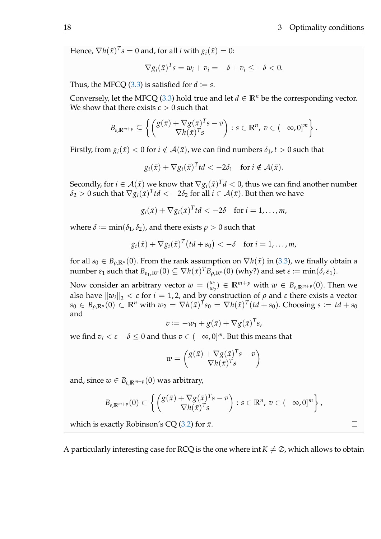$\Box$ 

Hence,  $\nabla h(\bar{x})^T s = 0$  and, for all *i* with  $g_i(\bar{x}) = 0$ :

$$
\nabla g_i(\bar{x})^T s = w_i + v_i = -\delta + v_i \leq -\delta < 0.
$$

Thus, the MFCQ  $(3.3)$  is satisfied for  $d \coloneqq s$ .

Conversely, let the MFCQ [\(3.3\)](#page-20-1) hold true and let  $d \in \mathbb{R}^n$  be the corresponding vector. We show that there exists  $\varepsilon > 0$  such that

$$
B_{\varepsilon,\mathbb{R}^{m+p}}\subseteq\left\{\left(\begin{matrix}g(\bar{x})+\nabla g(\bar{x})^Ts-v\\ \nabla h(\bar{x})^Ts\end{matrix}\right):s\in\mathbb{R}^n,\ v\in(-\infty,0]^m\right\}.
$$

Firstly, from  $g_i(\bar{x}) < 0$  for  $i \notin A(\bar{x})$ , we can find numbers  $\delta_1, t > 0$  such that

$$
g_i(\bar{x}) + \nabla g_i(\bar{x})^T t d < -2\delta_1 \text{ for } i \notin \mathcal{A}(\bar{x}).
$$

Secondly, for  $i \in \mathcal{A}(\bar{x})$  we know that  $\nabla g_i(\bar{x})^T d < 0$ , thus we can find another number  $\delta_2>0$  such that  $\nabla g_i(\bar x)^T t d<-2\delta_2$  for all  $i\in\mathcal{A}(\bar x).$  But then we have

$$
g_i(\bar{x}) + \nabla g_i(\bar{x})^T t d < -2\delta \quad \text{for } i = 1,\ldots,m,
$$

where  $\delta := \min(\delta_1, \delta_2)$ , and there exists  $\rho > 0$  such that

$$
g_i(\bar{x}) + \nabla g_i(\bar{x})^T \bigl( t d + s_0 \bigr) < -\delta \quad \text{for } i = 1, \ldots, m,
$$

for all  $s_0 \in B_{\rho,\mathbb{R}^n}(0)$ . From the rank assumption on  $\nabla h(\bar{x})$  in [\(3.3\)](#page-20-1), we finally obtain a  $\text{number } \varepsilon_1 \text{ such that } B_{\varepsilon_1,\mathbb{R}^p}(0) \subseteq \nabla h(\bar{x})^T B_{\rho,\mathbb{R}^n}(0) \text{ (why?) and set } \varepsilon \coloneqq \min(\delta,\varepsilon_1).$ 

Now consider an arbitrary vector  $w = \binom{w_1}{w_2}$  $\mathbb{R}^{m_1}_{w_2}$   $\in \mathbb{R}^{m+p}$  with  $w \in B_{\varepsilon,\mathbb{R}^{m+p}}(0)$ . Then we also have  $\|w_i\|_2 < \varepsilon$  for  $i = 1, 2$ , and by construction of  $\rho$  and  $\varepsilon$  there exists a vector  $s_0\in B_{\rho,\mathbb{R}^n}(0)\subset\mathbb{R}^n$  with  $w_2=\nabla h(\bar x)^Ts_0=\nabla h(\bar x)^T(td+s_0).$  Choosing  $s\coloneqq td+s_0$ and

$$
v := -w_1 + g(\bar{x}) + \nabla g(\bar{x})^T s,
$$

we find  $v_i < \varepsilon - \delta \leq 0$  and thus  $v \in (-\infty, 0]^m$ . But this means that

$$
w = \begin{pmatrix} g(\bar{x}) + \nabla g(\bar{x})^T s - v \\ \nabla h(\bar{x})^T s \end{pmatrix}
$$

and, since  $w \in B_{\varepsilon, \mathbb{R}^{m+p}}(0)$  was arbitrary,

$$
B_{\varepsilon,\mathbb{R}^{m+p}}(0) \subset \left\{ \begin{pmatrix} g(\bar{x}) + \nabla g(\bar{x})^T s - v \\ \nabla h(\bar{x})^T s \end{pmatrix} : s \in \mathbb{R}^n, v \in (-\infty,0]^m \right\},\
$$

which is exactly Robinson's CQ  $(3.2)$  for  $\bar{x}$ .

A particularly interesting case for RCQ is the one where int  $K \neq \emptyset$ , which allows to obtain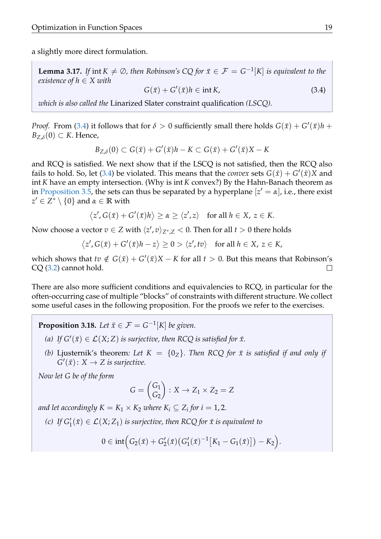<span id="page-22-1"></span>a slightly more direct formulation.

**Lemma 3.17.** If int  $K \neq \emptyset$ , then Robinson's CQ for  $\bar{x} \in \mathcal{F} = G^{-1}[K]$  is equivalent to the *existence of h* ∈ *X with*

<span id="page-22-0"></span>
$$
G(\bar{x}) + G'(\bar{x})h \in \text{int } K,\tag{3.4}
$$

*which is also called the* Linarized Slater constraint qualification *(LSCQ).*

*Proof.* From [\(3.4\)](#page-22-0) it follows that for  $\delta > 0$  sufficiently small there holds  $G(\bar{x}) + G'(\bar{x})h +$  $B_{Z,\delta}(0) \subset K$ . Hence,

$$
B_{Z,\delta}(0) \subset G(\bar{x}) + G'(\bar{x})h - K \subset G(\bar{x}) + G'(\bar{x})X - K
$$

and RCQ is satisfied. We next show that if the LSCQ is not satisfied, then the RCQ also fails to hold. So, let [\(3.4\)](#page-22-0) be violated. This means that the *convex* sets  $G(\bar{x}) + G'(\bar{x})X$  and int *K* have an empty intersection. (Why is int *K* convex?) By the Hahn-Banach theorem as in [Proposition 3.5,](#page-16-0) the sets can thus be separated by a hyperplane  $[z' = \alpha]$ , i.e., there exist  $z' \in \overline{Z^*} \setminus \{0\}$  and  $\alpha \in \mathbb{R}$  with

$$
\langle z', G(\bar{x}) + G'(\bar{x})h \rangle \ge \alpha \ge \langle z', z \rangle \quad \text{for all } h \in X, \ z \in K.
$$

Now choose a vector  $v \in Z$  with  $\langle z', v \rangle_{Z^*,Z} < 0$ . Then for all  $t > 0$  there holds

$$
\langle z', G(\bar{x}) + G'(\bar{x})h - z \rangle \ge 0 > \langle z', tv \rangle \quad \text{for all } h \in X, \ z \in K,
$$

which shows that  $tv \notin G(\bar{x}) + G'(\bar{x})X - K$  for all  $t > 0$ . But this means that Robinson's CQ [\(3.2\)](#page-20-0) cannot hold.  $\Box$ 

There are also more sufficient conditions and equivalencies to RCQ, in particular for the often-occurring case of multiple "blocks" of constraints with different structure. We collect some useful cases in the following proposition. For the proofs we refer to the exercises.

<span id="page-22-2"></span>**Proposition 3.18.** Let  $\bar{x} \in \mathcal{F} = G^{-1}[K]$  be given.

- (a) If  $G'(\bar{x}) \in \mathcal{L}(X; Z)$  *is surjective, then RCQ is satisfied for*  $\bar{x}$ *.*
- *(b)* Ljusternik's theorem: Let  $K = \{0_Z\}$ . Then RCQ for  $\bar{x}$  is satisfied if and only if  $G'(\bar{x})$ :  $X \to Z$  is surjective.

*Now let G be of the form*

$$
G = \begin{pmatrix} G_1 \\ G_2 \end{pmatrix} : X \to Z_1 \times Z_2 = Z
$$

*and let accordingly*  $K = K_1 \times K_2$  *where*  $K_i \subseteq Z_i$  for  $i = 1, 2$ *.* 

(*c*) If  $G'_{1}(\bar{x}) \in \mathcal{L}(X; Z_{1})$  *is surjective, then RCQ for*  $\bar{x}$  *is equivalent to* 

$$
0 \in \mathrm{int} (G_2(\bar{x}) + G_2'(\bar{x}) (G_1'(\bar{x})^{-1} [K_1 - G_1(\bar{x})]) - K_2).
$$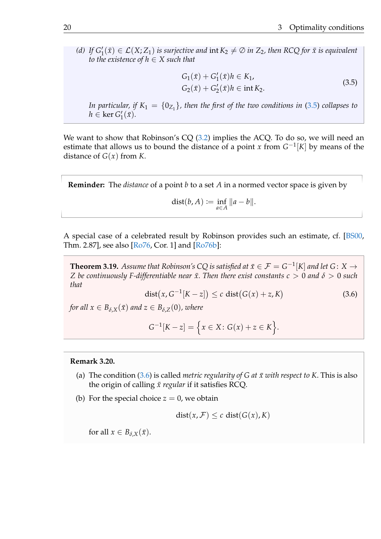(*d*) If  $G'_1(x) \in \mathcal{L}(X; Z_1)$  is surjective and  $\text{int } K_2 \neq \emptyset$  in  $Z_2$ , then RCQ for  $\bar{x}$  is equivalent *to the existence of*  $h \in X$  *such that* 

$$
G_1(\bar{x}) + G'_1(\bar{x})h \in K_1,
$$
  
\n
$$
G_2(\bar{x}) + G'_2(\bar{x})h \in \text{int } K_2.
$$
\n(3.5)

<span id="page-23-0"></span>In particular, if  $K_1 = \{0_{Z_1}\}\$ , then the first of the two conditions in [\(3.5\)](#page-23-0) collapses to  $h \in \ker G_1'$  $\frac{1}{1}(\bar{x})$ .

We want to show that Robinson's CQ [\(3.2\)](#page-20-0) implies the ACQ. To do so, we will need an estimate that allows us to bound the distance of a point *x* from  $G^{-1}[K]$  by means of the distance of  $G(x)$  from *K*.

**Reminder:** The *distance* of a point *b* to a set *A* in a normed vector space is given by

$$
dist(b, A) := \inf_{a \in A} ||a - b||.
$$

A special case of a celebrated result by Robinson provides such an estimate, cf. [\[BS00,](#page-51-3) Thm. 2.87], see also [\[Ro76,](#page-51-6) Cor. 1] and [\[Ro76b\]](#page-51-7):

<span id="page-23-2"></span>**Theorem 3.19.** Assume that Robinson's CQ is satisfied at  $\bar{x} \in \mathcal{F} = G^{-1}[K]$  and let  $G: X \rightarrow$ *Z* be continuously F-differentiable near  $\bar{x}$ . Then there exist constants  $c > 0$  and  $\delta > 0$  such *that*

<span id="page-23-1"></span>
$$
dist(x, G^{-1}[K-z]) \le c \text{ dist}(G(x) + z, K) \tag{3.6}
$$

*for all*  $x \in B_{\delta,X}(\bar{x})$  *and*  $z \in B_{\delta,Z}(0)$ *, where* 

$$
G^{-1}[K - z] = \{x \in X : G(x) + z \in K\}.
$$

#### <span id="page-23-3"></span>**Remark 3.20.**

- (a) The condition  $(3.6)$  is called *metric regularity of G at*  $\bar{x}$  with respect to K. This is also the origin of calling  $\bar{x}$  regular if it satisfies RCQ.
- (b) For the special choice  $z = 0$ , we obtain

$$
dist(x, F) \leq c \, dist(G(x), K)
$$

for all  $x \in B_{\delta,X}(\bar{x})$ .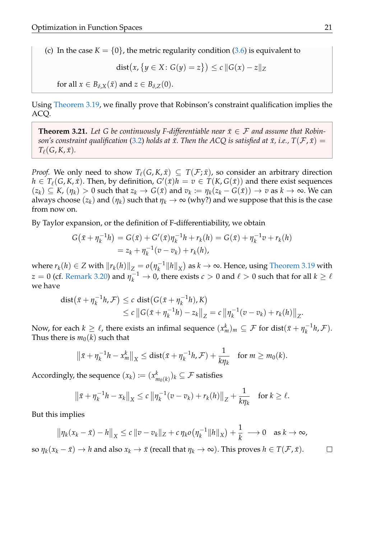(c) In the case  $K = \{0\}$ , the metric regularity condition [\(3.6\)](#page-23-1) is equivalent to

$$
dist(x, \{y \in X : G(y) = z\}) \le c ||G(x) - z||_Z
$$

for all  $x \in B_{\delta,X}(\bar{x})$  and  $z \in B_{\delta,Z}(0)$ .

Using [Theorem 3.19,](#page-23-2) we finally prove that Robinson's constraint qualification implies the ACQ.

<span id="page-24-0"></span>**Theorem 3.21.** Let G be continuously F-differentiable near  $\bar{x} \in \mathcal{F}$  and assume that Robin*son's constraint qualification* [\(3.2\)](#page-20-0) *holds at*  $\bar{x}$ . Then the ACQ is satisfied at  $\bar{x}$ , *i.e.*,  $T(\mathcal{F}, \bar{x}) =$  $T_\ell(G, K, \bar{x})$ .

*Proof.* We only need to show  $T_{\ell}(G, K, \bar{x}) \subseteq T(\mathcal{F}; \bar{x})$ , so consider an arbitrary direction  $h \in T_{\ell}(G, K, \bar{x})$ . Then, by definition,  $G'(\bar{x})h = v \in T(K, G(\bar{x}))$  and there exist sequences  $(z_k) \subseteq K$ ,  $(\eta_k) > 0$  such that  $z_k \to G(\bar{x})$  and  $v_k := \eta_k(z_k - G(\bar{x})) \to v$  as  $k \to \infty$ . We can always choose  $(z_k)$  and  $(\eta_k)$  such that  $\eta_k \to \infty$  (why?) and we suppose that this is the case from now on.

By Taylor expansion, or the definition of F-differentiability, we obtain

$$
G(\bar{x} + \eta_k^{-1}h) = G(\bar{x}) + G'(\bar{x})\eta_k^{-1}h + r_k(h) = G(\bar{x}) + \eta_k^{-1}v + r_k(h)
$$
  
=  $z_k + \eta_k^{-1}(v - v_k) + r_k(h)$ ,

where  $r_k(h) \in Z$  with  $\|r_k(h)\|_Z = o(\eta_k^{-1})$  $\frac{1}{k}$ <sup>-1</sup> $||h||_X$ ) as  $k \to \infty$ . Hence, using [Theorem 3.19](#page-23-2) with *z* = 0 (cf. [Remark 3.20\)](#page-23-3) and  $\eta_k^{-1} \to 0$ , there exists  $c > 0$  and  $\ell > 0$  such that for all  $k \geq \ell$ we have

dist
$$
(\bar{x} + \eta_k^{-1}h, \mathcal{F}) \le c
$$
dist $(G(\bar{x} + \eta_k^{-1}h), K)$   
 $\le c ||G(\bar{x} + \eta_k^{-1}h) - z_k||_Z = c ||\eta_k^{-1}(v - v_k) + r_k(h)||_Z.$ 

Now, for each  $k \ge \ell$ , there exists an infimal sequence  $(x_m^k)_m \subseteq \mathcal{F}$  for  $\mathrm{dist}(\bar{x}+\eta_k^{-1})$  $\binom{-1}{k}$ ,  $\mathcal{F}$ ). Thus there is  $m_0(k)$  such that

$$
\left\|\bar{x}+\eta_k^{-1}h-x_m^k\right\|_X\leq \text{dist}(\bar{x}+\eta_k^{-1}h,\mathcal{F})+\frac{1}{k\eta_k}\quad\text{for }m\geq m_0(k).
$$

Accordingly, the sequence  $(x_k) \coloneqq (x_k^k)$  $_{m_{0}(k)}^{k})_{k}\subseteq\mathcal{F}$  satisfies

$$
\|\bar{x} + \eta_k^{-1}h - x_k\|_X \le c \|\eta_k^{-1}(v - v_k) + r_k(h)\|_Z + \frac{1}{k\eta_k} \quad \text{for } k \ge \ell.
$$

But this implies

$$
\|\eta_k(x_k-\bar{x})-h\|_X\leq c\,\|v-v_k\|_Z+c\,\eta_k o\big(\eta_k^{-1}\|h\|_X\big)+\frac{1}{k}\,\longrightarrow 0\quad\text{as }k\to\infty,
$$

so  $\eta_k(x_k - \bar{x}) \to h$  and also  $x_k \to \bar{x}$  (recall that  $\eta_k \to \infty$ ). This proves  $h \in T(\mathcal{F}, \bar{x})$ .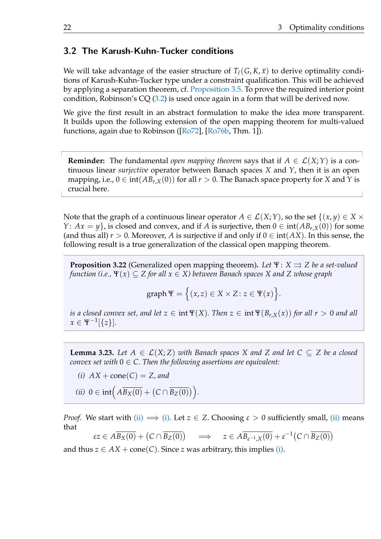## 3.2 The Karush-Kuhn-Tucker conditions

We will take advantage of the easier structure of  $T_{\ell}(G, K, \bar{x})$  to derive optimality conditions of Karush-Kuhn-Tucker type under a constraint qualification. This will be achieved by applying a separation theorem, cf. [Proposition 3.5.](#page-16-0) To prove the required interior point condition, Robinson's CQ [\(3.2\)](#page-20-0) is used once again in a form that will be derived now.

We give the first result in an abstract formulation to make the idea more transparent. It builds upon the following extension of the open mapping theorem for multi-valued functions, again due to Robinson ([\[Ro72\]](#page-51-8), [\[Ro76b,](#page-51-7) Thm. 1]).

**Reminder:** The fundamental *open mapping theorem* says that if  $A \in \mathcal{L}(X;Y)$  is a continuous linear *surjective* operator between Banach spaces *X* and *Y*, then it is an open mapping, i.e.,  $0 \in \text{int}(AB_{r,X}(0))$  for all  $r > 0$ . The Banach space property for *X* and *Y* is crucial here.

Note that the graph of a continuous linear operator  $A \in \mathcal{L}(X;Y)$ , so the set  $\{(x,y) \in X \times Y\}$ *Y*:  $Ax = y$ , is closed and convex, and if *A* is surjective, then  $0 \in \text{int}(AB_{r,X}(0))$  for some (and thus all)  $r > 0$ . Moreover, A is surjective if and only if  $0 \in \text{int}(AX)$ . In this sense, the following result is a true generalization of the classical open mapping theorem.

<span id="page-25-2"></span>**Proposition 3.22** (Generalized open mapping theorem). Let  $\Psi: X \rightrightarrows Z$  be a set-valued *function (i.e.,* Ψ(*x*) ⊆ *Z for all x* ∈ *X) between Banach spaces X and Z whose graph*

$$
graph \Psi = \Big\{ (x,z) \in X \times Z \colon z \in \Psi(x) \Big\}.
$$

*is a closed convex set, and let*  $z \in \text{int }\Psi(X)$ *. Then*  $z \in \text{int }\Psi(B_{r,X}(x))$  for all  $r > 0$  and all  $x \in \Psi^{-1}[\{z\}].$ 

<span id="page-25-3"></span>**Lemma 3.23.** Let  $A \in \mathcal{L}(X;Z)$  with Banach spaces X and Z and let  $C \subseteq Z$  be a closed *convex set with*  $0 \in C$ . Then the following assertions are equivalent:

- <span id="page-25-1"></span>*(i)*  $AX + cone(C) = Z$ , and
- <span id="page-25-0"></span>(*ii*)  $0 \in \text{int} \left( A \overline{B_X(0)} + \left( C \cap \overline{B_Z(0)} \right) \right)$ .

*Proof.* We start with [\(ii\)](#page-25-0)  $\implies$  [\(i\).](#page-25-1) Let  $z \in Z$ . Choosing  $\varepsilon > 0$  sufficiently small, (ii) means that

$$
\varepsilon z \in A\overline{B_X(0)} + (C \cap \overline{B_Z(0)}) \quad \Longrightarrow \quad z \in A\overline{B_{\varepsilon^{-1},X}(0)} + \varepsilon^{-1}(C \cap \overline{B_Z(0)})
$$

and thus  $z \in AX + \text{cone}(C)$ . Since *z* was arbitrary, this implies [\(i\).](#page-25-1)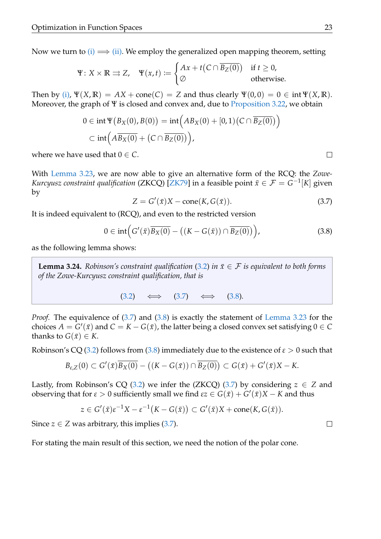Now we turn to [\(i\)](#page-25-1)  $\implies$  [\(ii\).](#page-25-0) We employ the generalized open mapping theorem, setting

$$
\Psi \colon X \times \mathbb{R} \rightrightarrows Z, \quad \Psi(x, t) := \begin{cases} Ax + t(C \cap \overline{B_Z(0)}) & \text{if } t \ge 0, \\ \varnothing & \text{otherwise.} \end{cases}
$$

Then by [\(i\),](#page-25-1)  $\Psi(X,\mathbb{R}) = AX + \text{cone}(C) = Z$  and thus clearly  $\Psi(0,0) = 0 \in \text{int } \Psi(X,\mathbb{R})$ . Moreover, the graph of  $\Psi$  is closed and convex and, due to [Proposition 3.22,](#page-25-2) we obtain

$$
0 \in \operatorname{int} \Psi(B_X(0), B(0)) = \operatorname{int} \Big( AB_X(0) + [0, 1) (C \cap \overline{B_Z(0)}) \Big)
$$
  

$$
\subset \operatorname{int} \Big( AB_X(0) + (C \cap \overline{B_Z(0)}) \Big),
$$

where we have used that  $0 \in C$ .

With [Lemma 3.23,](#page-25-3) we are now able to give an alternative form of the RCQ: the *Zowe-Kurcyusz constraint qualification* (ZKCQ) [\[ZK79\]](#page-51-9) in a feasible point  $\bar{x} \in \mathcal{F} = G^{-1}[K]$  given by

<span id="page-26-0"></span>
$$
Z = G'(\bar{x})X - \text{cone}(K, G(\bar{x})).
$$
\n(3.7)

It is indeed equivalent to (RCQ), and even to the restricted version

<span id="page-26-1"></span>
$$
0 \in \mathrm{int}\Big(G'(\bar{x})\overline{B_X(0)} - ((K - G(\bar{x})) \cap \overline{B_Z(0)})\Big),\tag{3.8}
$$

<span id="page-26-2"></span>as the following lemma shows:

**Lemma 3.24.** *Robinson's constraint qualification* [\(3.2\)](#page-20-0) *in*  $\bar{x} \in \mathcal{F}$  *is equivalent to both forms of the Zowe-Kurcyusz constraint qualification, that is*

$$
(3.2) \quad \Longleftrightarrow \quad (3.7) \quad \Longleftrightarrow \quad (3.8).
$$

*Proof.* The equivalence of [\(3.7\)](#page-26-0) and [\(3.8\)](#page-26-1) is exactly the statement of [Lemma 3.23](#page-25-3) for the choices  $A = G'(\bar{x})$  and  $C = K - G(\bar{x})$ , the latter being a closed convex set satisfying  $0 \in C$ thanks to  $G(\bar{x}) \in K$ .

Robinson's CQ [\(3.2\)](#page-20-0) follows from [\(3.8\)](#page-26-1) immediately due to the existence of *ε* > 0 such that

$$
B_{\varepsilon,Z}(0)\subset G'(\bar x)\overline{B_X(0)}-\big((K-G(\bar x))\cap \overline{B_Z(0)}\big)\subset G(\bar x)+G'(\bar x)X-K.
$$

Lastly, from Robinson's CQ [\(3.2\)](#page-20-0) we infer the (ZKCQ) [\(3.7\)](#page-26-0) by considering  $z \in Z$  and  $\alpha$  observing that for *ε* > 0 sufficiently small we find *εz* ∈ *G*(*x*̄) + *G*<sup> $\alpha$ </sup>(*x*̄)*X* − *K* and thus

$$
z\in G'(\bar x)\varepsilon^{-1}X-\varepsilon^{-1}\big(K-G(\bar x)\big)\subset G'(\bar x)X+\textup{cone}(K,G(\bar x)).
$$

Since  $z \in Z$  was arbitrary, this implies  $(3.7)$ .

For stating the main result of this section, we need the notion of the polar cone.

 $\Box$ 

 $\Box$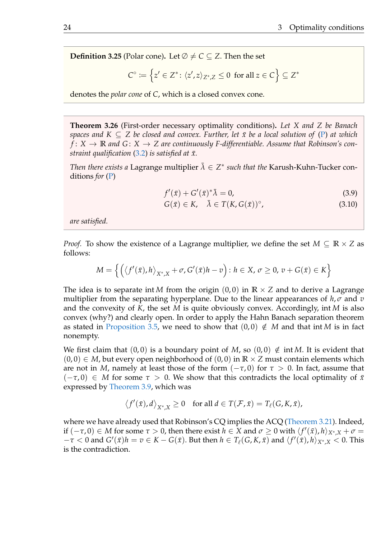**Definition 3.25** (Polar cone). Let  $\emptyset \neq C \subseteq Z$ . Then the set

$$
C^{\circ} \coloneqq \left\{ z' \in Z^* \colon \langle z', z \rangle_{Z^*, Z} \leq 0 \text{ for all } z \in C \right\} \subseteq Z^*
$$

denotes the *polar cone* of *C*, which is a closed convex cone.

<span id="page-27-2"></span>**Theorem 3.26** (First-order necessary optimality conditions)**.** *Let X and Z be Banach spaces and*  $K \subseteq Z$  *be closed and convex. Further, let*  $\bar{x}$  *be a local solution of* [\(P\)](#page-5-0) *at which*  $f: X \to \mathbb{R}$  and  $G: X \to Z$  are continuously F-differentiable. Assume that Robinson's con*straint qualification*  $(3.2)$  *is satisfied at*  $\bar{x}$ *.* 

*Then there exists a* Lagrange multiplier  $\bar{\lambda} \in Z^*$  such that the Karush-Kuhn-Tucker conditions *for* [\(P\)](#page-5-0)

<span id="page-27-0"></span>
$$
f'(\bar{x}) + G'(\bar{x})^* \bar{\lambda} = 0,
$$
\n(3.9)

<span id="page-27-1"></span>
$$
G(\bar{x}) \in K, \quad \bar{\lambda} \in T(K, G(\bar{x}))^{\circ}, \tag{3.10}
$$

*are satisfied.*

*Proof.* To show the existence of a Lagrange multiplier, we define the set  $M \subseteq \mathbb{R} \times Z$  as follows:

$$
M = \left\{ \left( \left\langle f'(\bar{x}), h \right\rangle_{X^*, X} + \sigma, G'(\bar{x})h - v \right) : h \in X, \sigma \ge 0, v + G(\bar{x}) \in K \right\}
$$

The idea is to separate int *M* from the origin  $(0,0)$  in  $\mathbb{R} \times \mathbb{Z}$  and to derive a Lagrange multiplier from the separating hyperplane. Due to the linear appearances of  $h, \sigma$  and  $v$ and the convexity of *K*, the set *M* is quite obviously convex. Accordingly, int *M* is also convex (why?) and clearly open. In order to apply the Hahn Banach separation theorem as stated in [Proposition 3.5,](#page-16-0) we need to show that  $(0, 0) \notin M$  and that int *M* is in fact nonempty.

We first claim that  $(0,0)$  is a boundary point of *M*, so  $(0,0) \notin \text{int } M$ . It is evident that  $(0,0) \in M$ , but every open neighborhood of  $(0,0)$  in  $\mathbb{R} \times \mathbb{Z}$  must contain elements which are not in *M*, namely at least those of the form  $(-\tau, 0)$  for  $\tau > 0$ . In fact, assume that  $(-\tau, 0) \in M$  for some  $\tau > 0$ . We show that this contradicts the local optimality of  $\bar{x}$ expressed by [Theorem 3.9,](#page-18-1) which was

$$
\langle f'(\bar{x}), d \rangle_{X^*, X} \ge 0 \quad \text{for all } d \in T(\mathcal{F}, \bar{x}) = T_\ell(G, K, \bar{x}),
$$

where we have already used that Robinson's CQ implies the ACQ [\(Theorem 3.21\)](#page-24-0). Indeed, if  $(-\tau, 0) \in M$  for some  $\tau > 0$ , then there exist  $h \in X$  and  $\sigma \ge 0$  with  $\langle f'(\bar x), h \rangle_{X^*,X} + \sigma =$  $-\tau < 0$  and  $G'(\bar{x})h = v \in K - G(\bar{x})$ . But then  $h \in T_{\ell}(G, K, \bar{x})$  and  $\langle f'(\bar{x}), h \rangle_{X^*, X} < 0$ . This is the contradiction.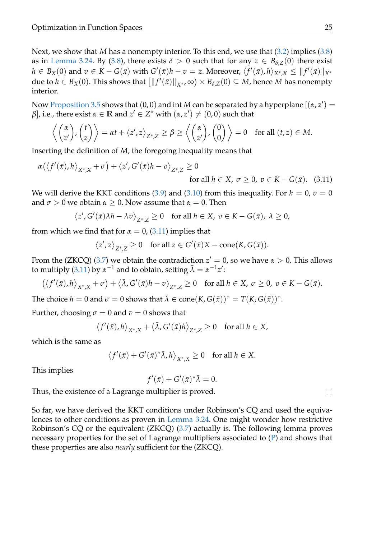Next, we show that *M* has a nonempty interior. To this end, we use that [\(3.2\)](#page-20-0) implies [\(3.8\)](#page-26-1) as in [Lemma 3.24.](#page-26-2) By [\(3.8\)](#page-26-1), there exists  $\delta > 0$  such that for any  $z \in B_{\delta Z}(0)$  there exist  $h\in\overline{B_X(0)}$  and  $v\in K-G(\bar x)$  with  $G'(\bar x)h-v=z.$  Moreover,  $\langle f'(\bar x),h\rangle_{X^*,X}\leq \|f'(\bar x)\|_{X^*}$  $\textrm{due to } h \in \overline{B_X(0)}.$  This shows that  $\big[\|f'(\bar x)\|_{X^*},\infty\big) \times B_{\delta,\mathrm{Z}}(0) \subseteq M,$  hence  $M$  has nonempty interior.

Now [Proposition 3.5](#page-16-0) shows that  $(0,0)$  and int M can be separated by a hyperplane  $[(\alpha, z') =$ *β*], i.e., there exist  $\alpha \in \mathbb{R}$  and  $z' \in Z^*$  with  $(\alpha, z') \neq (0, 0)$  such that

$$
\left\langle \begin{pmatrix} \alpha \\ z' \end{pmatrix}, \begin{pmatrix} t \\ z \end{pmatrix} \right\rangle = \alpha t + \left\langle z', z \right\rangle_{Z^*,Z} \ge \beta \ge \left\langle \begin{pmatrix} \alpha \\ z' \end{pmatrix}, \begin{pmatrix} 0 \\ 0 \end{pmatrix} \right\rangle = 0 \text{ for all } (t, z) \in M.
$$

Inserting the definition of *M*, the foregoing inequality means that

$$
\alpha(\langle f'(\bar{x}), h \rangle_{X^*, X} + \sigma) + \langle z', G'(\bar{x})h - v \rangle_{Z^*, Z} \ge 0
$$
  
for all  $h \in X, \sigma \ge 0, v \in K - G(\bar{x})$ . (3.11)

We will derive the KKT conditions [\(3.9\)](#page-27-0) and [\(3.10\)](#page-27-1) from this inequality. For  $h = 0$ ,  $v = 0$ and  $\sigma > 0$  we obtain  $\alpha > 0$ . Now assume that  $\alpha = 0$ . Then

$$
\langle z', G'(\bar{x})\lambda h - \lambda v \rangle_{Z^*,Z} \ge 0 \quad \text{for all } h \in X, \ v \in K - G(\bar{x}), \ \lambda \ge 0,
$$

from which we find that for  $\alpha = 0$ , [\(3.11\)](#page-28-0) implies that

$$
\langle z', z \rangle_{Z^*, Z} \ge 0
$$
 for all  $z \in G'(\bar{x})X - \text{cone}(K, G(\bar{x})).$ 

From the (ZKCQ) [\(3.7\)](#page-26-0) we obtain the contradiction  $z'=0$ , so we have  $\alpha>0$ . This allows to multiply [\(3.11\)](#page-28-0) by  $\alpha^{-1}$  and to obtain, setting  $\bar{\lambda} = \alpha^{-1} z'$ :

$$
(\langle f'(\bar{x}), h \rangle_{X^*,X} + \sigma) + \langle \bar{\lambda}, G'(\bar{x})h - v \rangle_{Z^*,Z} \ge 0 \quad \text{for all } h \in X, \ \sigma \ge 0, \ v \in K - G(\bar{x}).
$$

The choice  $h = 0$  and  $\sigma = 0$  shows that  $\bar{\lambda} \in \text{cone}(K, G(\bar{x}))$ ° =  $T(K, G(\bar{x}))$ °.

Further, choosing  $\sigma = 0$  and  $v = 0$  shows that

$$
\langle f'(\bar{x}), h \rangle_{X^*,X} + \langle \bar{\lambda}, G'(\bar{x})h \rangle_{Z^*,Z} \ge 0 \quad \text{for all } h \in X,
$$

which is the same as

 $\langle f'(\bar{x}) + G'(\bar{x})^* \bar{\lambda}, h \rangle_{X^*,X} \ge 0$  for all  $h \in X$ .

This implies

$$
f'(\bar{x}) + G'(\bar{x})^* \bar{\lambda} = 0.
$$

Thus, the existence of a Lagrange multiplier is proved.

So far, we have derived the KKT conditions under Robinson's CQ and used the equivalences to other conditions as proven in [Lemma 3.24.](#page-26-2) One might wonder how restrictive Robinson's CQ or the equivalent (ZKCQ) [\(3.7\)](#page-26-0) actually is. The following lemma proves necessary properties for the set of Lagrange multipliers associated to [\(P\)](#page-5-0) and shows that these properties are also *nearly* sufficient for the (ZKCQ).

<span id="page-28-0"></span> $\Box$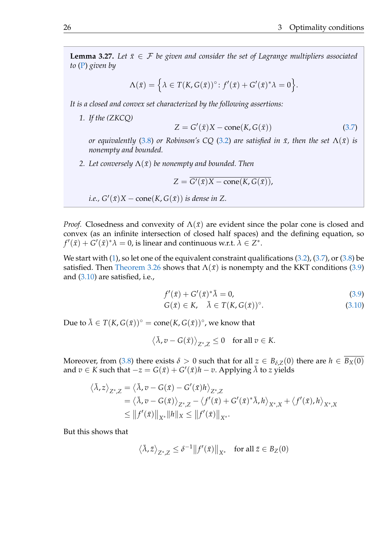**Lemma 3.27.** Let  $\bar{x} \in \mathcal{F}$  be given and consider the set of Lagrange multipliers associated *to* [\(P\)](#page-5-0) *given by*

$$
\Lambda(\bar{x}) = \left\{ \lambda \in T(K, G(\bar{x}))^{\circ} : f'(\bar{x}) + G'(\bar{x})^* \lambda = 0 \right\}.
$$

<span id="page-29-0"></span>*It is a closed and convex set characterized by the following assertions:*

*1. If the (ZKCQ)*

$$
Z = G'(\bar{x})X - \text{cone}(K, G(\bar{x}))
$$
\n(3.7)

*or equivalently* [\(3.8\)](#page-26-1) *or Robinson's CQ* [\(3.2\)](#page-20-0) *are satisfied in*  $\bar{x}$ *, then the set*  $\Lambda(\bar{x})$  *is nonempty and bounded.*

*2. Let conversely*  $\Lambda(\bar{x})$  *be nonempty and bounded. Then* 

$$
Z = \overline{G'(\bar{x})X - \text{cone}(K, G(\bar{x})),}
$$

*i.e.*, 
$$
G'(\bar{x})X
$$
 – cone(K,  $G(\bar{x})$ ) is dense in Z.

*Proof.* Closedness and convexity of  $\Lambda(\bar{x})$  are evident since the polar cone is closed and convex (as an infinite intersection of closed half spaces) and the defining equation, so  $f'(\bar{x}) + G'(\bar{x})^* \lambda = 0$ , is linear and continuous w.r.t.  $\tilde{\lambda} \in Z^*.$ 

We start with  $(1)$ , so let one of the equivalent constraint qualifications  $(3.2)$ ,  $(3.7)$ , or  $(3.8)$  be satisfied. Then [Theorem 3.26](#page-27-2) shows that  $\Lambda(\bar{x})$  is nonempty and the KKT conditions [\(3.9\)](#page-27-0) and [\(3.10\)](#page-27-1) are satisfied, i.e.,

$$
f'(\bar{x}) + G'(\bar{x})^* \bar{\lambda} = 0, \qquad (3.9)
$$

$$
G(\bar{x}) \in K, \quad \bar{\lambda} \in T(K, G(\bar{x}))^{\circ}.
$$
 (3.10)

Due to  $\bar{\lambda} \in T(K, G(\bar{x}))^{\circ} = \text{cone}(K, G(\bar{x}))^{\circ}$ , we know that

$$
\left\langle \bar{\lambda}, v - G(\bar{x}) \right\rangle_{Z^*, Z} \leq 0 \quad \text{for all } v \in K.
$$

Moreover, from [\(3.8\)](#page-26-1) there exists  $\delta > 0$  such that for all  $z \in B_{\delta Z}(0)$  there are  $h \in B_X(0)$ and  $v \in K$  such that  $-z = G(\bar{x}) + G'(\bar{x})h - v$ . Applying  $\bar{\lambda}$  to *z* yields

$$
\langle \bar{\lambda}, z \rangle_{Z^*,Z} = \langle \bar{\lambda}, v - G(\bar{x}) - G'(\bar{x})h \rangle_{Z^*,Z}
$$
  
=  $\langle \bar{\lambda}, v - G(\bar{x}) \rangle_{Z^*,Z} - \langle f'(\bar{x}) + G'(\bar{x})^* \bar{\lambda}, h \rangle_{X^*,X} + \langle f'(\bar{x}), h \rangle_{X^*,X}$   
 $\leq ||f'(\bar{x})||_{X^*} ||h||_X \leq ||f'(\bar{x})||_{X^*}.$ 

But this shows that

$$
\langle \bar{\lambda}, \bar{z} \rangle_{Z^*, Z} \le \delta^{-1} ||f'(\bar{x})||_{X^*} \quad \text{for all } \bar{z} \in B_Z(0)
$$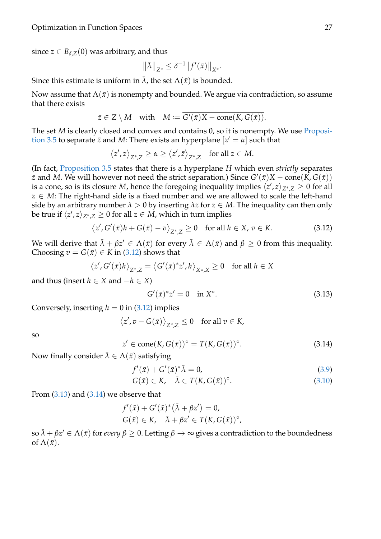since  $z \in B_{\delta Z}(0)$  was arbitrary, and thus

$$
\|\bar{\lambda}\|_{Z^*} \le \delta^{-1} \|f'(\bar{x})\|_{X^*}.
$$

Since this estimate is uniform in  $\bar{\lambda}$ , the set  $\Lambda(\bar{x})$  is bounded.

Now assume that  $\Lambda(\bar{x})$  is nonempty and bounded. We argue via contradiction, so assume that there exists

$$
\bar{z} \in Z \setminus M \quad \text{with} \quad M := \overline{G'(\bar{x})X - \text{cone}(K, G(\bar{x}))}.
$$

The set *M* is clearly closed and convex and contains 0, so it is nonempty. We use [Proposi](#page-16-0)[tion 3.5](#page-16-0) to separate  $\bar{z}$  and M: There exists an hyperplane  $[z' = \alpha]$  such that

$$
\left\langle z',z\right\rangle_{Z^*,Z} \geq \alpha \geq \left\langle z',\bar{z}\right\rangle_{Z^*,Z} \quad \text{for all } z\in M.
$$

(In fact, [Proposition 3.5](#page-16-0) states that there is a hyperplane *H* which even *strictly* separates  $\bar{z}$  and *M*. We will however not need the strict separation.) Since  $G'(\bar{x})X$  – cone $(\bar{K}, G(\bar{x}))$ is a cone, so is its closure *M*, hence the foregoing inequality implies  $\langle z', z \rangle_{Z^*,Z} \geq 0$  for all *z* ∈ *M*: The right-hand side is a fixed number and we are allowed to scale the left-hand side by an arbitrary number  $\lambda > 0$  by inserting  $\lambda z$  for  $z \in M$ . The inequality can then only be true if  $\langle z', z \rangle_{Z^*,Z} \geq 0$  for all  $z \in M$ , which in turn implies

<span id="page-30-0"></span>
$$
\langle z', G'(\bar{x})h + G(\bar{x}) - v \rangle_{Z^*,Z} \ge 0 \quad \text{for all } h \in X, v \in K. \tag{3.12}
$$

We will derive that  $\bar{\lambda} + \beta z' \in \Lambda(\bar{x})$  for every  $\bar{\lambda} \in \Lambda(\bar{x})$  and  $\beta \geq 0$  from this inequality. Choosing  $v = G(\bar{x}) \in K$  in [\(3.12\)](#page-30-0) shows that

$$
\langle z', G'(\bar{x})h \rangle_{Z^*,Z} = \langle G'(\bar{x})^* z', h \rangle_{X^*,X} \ge 0 \quad \text{for all } h \in X
$$

and thus (insert  $h \in X$  and  $-h \in X$ )

<span id="page-30-1"></span>
$$
G'(\bar{x})^*z' = 0 \quad \text{in } X^*.
$$
 (3.13)

Conversely, inserting  $h = 0$  in  $(3.12)$  implies

$$
\langle z', v - G(\bar{x}) \rangle_{Z^*,Z} \le 0
$$
 for all  $v \in K$ ,

so

<span id="page-30-2"></span>
$$
z' \in \text{cone}(K, G(\bar{x}))^{\circ} = T(K, G(\bar{x}))^{\circ}.
$$
\n(3.14)

Now finally consider  $\bar{\lambda} \in \Lambda(\bar{x})$  satisfying

$$
f'(\bar{x}) + G'(\bar{x})^* \bar{\lambda} = 0, \qquad (3.9)
$$

$$
G(\bar{x}) \in K, \quad \bar{\lambda} \in T(K, G(\bar{x}))^{\circ}.
$$
\n(3.10)

From  $(3.13)$  and  $(3.14)$  we observe that

$$
f'(\bar{x}) + G'(\bar{x})^*(\bar{\lambda} + \beta z') = 0,
$$
  

$$
G(\bar{x}) \in K, \quad \bar{\lambda} + \beta z' \in T(K, G(\bar{x}))^{\circ},
$$

 $\sin\bar{\lambda}+\beta z'\in\Lambda(\bar{x})$  for  $every$   $\beta\geq0.$  Letting  $\beta\to\infty$  gives a contradiction to the boundedness of  $\Lambda(\bar{x})$ .  $\Box$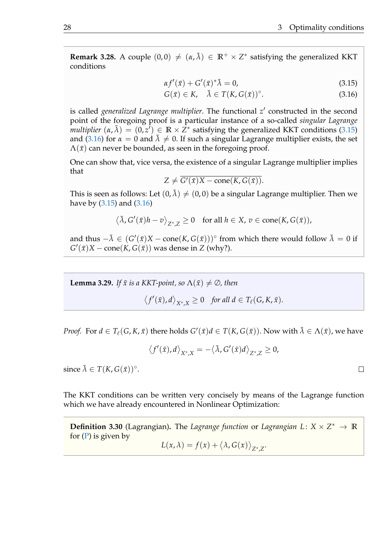**Remark 3.28.** A couple  $(0,0) \neq (\alpha, \bar{\lambda}) \in \mathbb{R}^+ \times \mathbb{Z}^*$  satisfying the generalized KKT conditions

<span id="page-31-0"></span>
$$
\alpha f'(\bar{x}) + G'(\bar{x})^* \bar{\lambda} = 0, \qquad (3.15)
$$

<span id="page-31-1"></span>
$$
G(\bar{x}) \in K, \quad \bar{\lambda} \in T(K, G(\bar{x}))^{\circ}.
$$
 (3.16)

is called *generalized Lagrange multiplier*. The functional z' constructed in the second point of the foregoing proof is a particular instance of a so-called *singular Lagrange multiplier*  $(\alpha, \bar{\lambda}) = (0, z^{\bar{\imath}}) \in \mathbb{R} \times \bar{Z}^*$  satisfying the generalized KKT conditions [\(3.15\)](#page-31-0) and [\(3.16\)](#page-31-1) for  $\alpha = 0$  and  $\overline{\lambda} \neq 0$ . If such a singular Lagrange multiplier exists, the set  $\Lambda(\bar{x})$  can never be bounded, as seen in the foregoing proof.

One can show that, vice versa, the existence of a singular Lagrange multiplier implies that

$$
Z \neq G'(\bar{x})X - \text{cone}(K, G(\bar{x})).
$$

This is seen as follows: Let  $(0, \bar{\lambda}) \neq (0, 0)$  be a singular Lagrange multiplier. Then we have by [\(3.15\)](#page-31-0) and [\(3.16\)](#page-31-1)

$$
\langle \bar{\lambda}, G'(\bar{x})h - v \rangle_{Z^*, Z} \ge 0 \quad \text{for all } h \in X, v \in \text{cone}(K, G(\bar{x})),
$$

and thus  $-\bar{\lambda} \in (G'(\bar{x})X - \text{cone}(K, G(\bar{x})))$ ° from which there would follow  $\bar{\lambda} = 0$  if  $G'(\bar{x})X$  – cone $(K, G(\bar{x}))$  was dense in *Z* (why?).

<span id="page-31-2"></span>**Lemma 3.29.** *If*  $\bar{x}$  *is a KKT-point, so*  $\Lambda(\bar{x}) \neq \emptyset$ *, then* 

$$
\langle f'(\bar{x}), d \rangle_{X^*, X} \geq 0 \quad \text{for all } d \in T_\ell(G, K, \bar{x}).
$$

*Proof.* For  $d \in T_{\ell}(G, K, \bar{x})$  there holds  $G'(\bar{x})d \in T(K, G(\bar{x}))$ . Now with  $\bar{\lambda} \in \Lambda(\bar{x})$ , we have

$$
\left\langle f'(\bar{x}),d\right\rangle_{X^*,X}=-\left\langle\bar{\lambda},G'(\bar{x})d\right\rangle_{Z^*,Z}\geq 0,
$$

since  $\bar{\lambda} \in T(K, G(\bar{x}))$ °.

The KKT conditions can be written very concisely by means of the Lagrange function which we have already encountered in Nonlinear Optimization:

**Definition 3.30** (Lagrangian). The *Lagrange function* or *Lagrangian*  $L: X \times Z^* \to \mathbb{R}$ for  $(P)$  is given by  $L(x, \lambda) = f(x) + \langle \lambda, G(x) \rangle_{Z^*, Z}.$ 

 $\Box$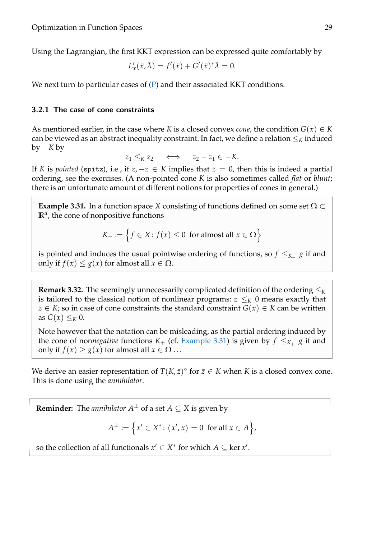Using the Lagrangian, the first KKT expression can be expressed quite comfortably by

$$
L'_x(\bar{x}, \bar{\lambda}) = f'(\bar{x}) + G'(\bar{x})^* \bar{\lambda} = 0.
$$

We next turn to particular cases of  $(P)$  and their associated KKT conditions.

#### 3.2.1 The case of cone constraints

As mentioned earlier, in the case where *K* is a closed convex *cone*, the condition  $G(x) \in K$ can be viewed as an abstract inequality constraint. In fact, we define a relation  $\leq_K$  induced by −*K* by

 $z_1 \leq_K z_2 \iff z_2 - z_1 \in -K.$ 

If *K* is *pointed* (spitz), i.e., if  $z, -z \in K$  implies that  $z = 0$ , then this is indeed a partial ordering, see the exercises. (A non-pointed cone *K* is also sometimes called *flat* or *blunt*; there is an unfortunate amount of different notions for properties of cones in general.)

<span id="page-32-0"></span>**Example 3.31.** In a function space *X* consisting of functions defined on some set  $\Omega \subset$  $\mathbb{R}^d$ , the cone of nonpositive functions

$$
K_{-} := \{ f \in X \colon f(x) \le 0 \text{ for almost all } x \in \Omega \}
$$

is pointed and induces the usual pointwise ordering of functions, so *f* ≤*K*<sup>−</sup> *g* if and only if  $f(x) \leq g(x)$  for almost all  $x \in \Omega$ .

**Remark 3.32.** The seemingly unnecessarily complicated definition of the ordering  $\leq_K$ is tailored to the classical notion of nonlinear programs:  $z \leq_K 0$  means exactly that *z* ∈ *K*; so in case of cone constraints the standard constraint  $G(x)$  ∈ *K* can be written as  $G(x) \leq_K 0$ .

Note however that the notation can be misleading, as the partial ordering induced by the cone of non*negative* functions  $K_{+}$  (cf. [Example 3.31\)](#page-32-0) is given by  $f \leq_{K_{+}} g$  if and only if  $f(x) \ge g(x)$  for almost all  $x \in \Omega$ ...

We derive an easier representation of  $T(K,\bar{z})^{\circ}$  for  $\bar{z} \in K$  when K is a closed convex cone. This is done using the *annihilator*.

**Reminder:** The *annihilator*  $A^{\perp}$  of a set  $A \subseteq X$  is given by

$$
A^{\perp} \coloneqq \Big\{ x' \in X^* \colon \langle x', x \rangle = 0 \text{ for all } x \in A \Big\},\
$$

so the collection of all functionals  $x' \in X^*$  for which  $A \subseteq \ker x'$ .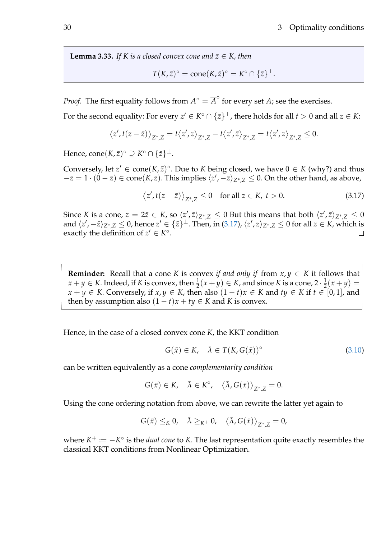<span id="page-33-1"></span>**Lemma 3.33.** *If K is a closed convex cone and*  $\bar{z} \in K$ *, then* 

$$
T(K,\bar{z})^{\circ} = \text{cone}(K,\bar{z})^{\circ} = K^{\circ} \cap \{\bar{z}\}^{\perp}.
$$

*Proof.* The first equality follows from  $A^{\circ} = \overline{A}^{\circ}$  for every set *A*; see the exercises.

For the second equality: For every  $z' \in K^{\circ} \cap \{\bar{z}\}^{\perp}$ , there holds for all  $t > 0$  and all  $z \in K$ :

$$
\left\langle z',t(z-\bar{z})\right\rangle_{Z^*,Z}=t\left\langle z',z\right\rangle_{Z^*,Z}-t\left\langle z',\bar{z}\right\rangle_{Z^*,Z}=t\left\langle z',z\right\rangle_{Z^*,Z}\leq 0.
$$

 $\text{Hence, cone}(K, \bar{z})^{\circ} \supseteq K^{\circ} \cap \{\bar{z}\}^{\perp}.$ 

Conversely, let  $z' \in \text{cone}(K, \bar{z})^{\circ}$ . Due to *K* being closed, we have  $0 \in K$  (why?) and thus  $-z = 1 \cdot (0 - \bar{z}) \in \text{cone}(K, \bar{z})$ . This implies  $\langle z', -\bar{z} \rangle_{Z^*, Z} \leq 0$ . On the other hand, as above,

<span id="page-33-0"></span>
$$
\langle z', t(z - \bar{z}) \rangle_{Z^*, Z} \le 0 \quad \text{for all } z \in K, t > 0. \tag{3.17}
$$

Since *K* is a cone,  $z = 2\bar{z} \in K$ , so  $\langle z', \bar{z} \rangle_{Z^*,Z} \leq 0$  But this means that both  $\langle z', \bar{z} \rangle_{Z^*,Z} \leq 0$ and  $\langle z', -\bar{z} \rangle_{Z^*,Z} \leq 0$ , hence  $z' \in \{\bar{z}\}^\perp$ . Then, in [\(3.17\)](#page-33-0),  $\langle z', z \rangle_{Z^*,Z} \leq 0$  for all  $z \in K$ , which is exactly the definition of  $z' \in K^{\circ}$ .

**Reminder:** Recall that a cone *K* is convex *if and only if* from  $x, y \in K$  it follows that *x* + *y* ∈ *K*. Indeed, if *K* is convex, then  $\frac{1}{2}(x + y)$  ∈ *K*, and since *K* is a cone, 2 ·  $\frac{1}{2}$  $\frac{1}{2}(x+y) =$ *x* + *y* ∈ *K*. Conversely, if *x*, *y* ∈ *K*, then also  $(1 - t)x$  ∈ *K* and  $t y$  ∈ *K* if  $t$  ∈ [0, 1], and then by assumption also  $(1 - t)x + ty \in K$  and *K* is convex.

Hence, in the case of a closed convex cone *K*, the KKT condition

$$
G(\bar{x}) \in K, \quad \bar{\lambda} \in T(K, G(\bar{x}))^{\circ}
$$
\n(3.10)

can be written equivalently as a cone *complementarity condition*

$$
G(\bar{x}) \in K, \quad \bar{\lambda} \in K^{\circ}, \quad \langle \bar{\lambda}, G(\bar{x}) \rangle_{Z^*,Z} = 0.
$$

Using the cone ordering notation from above, we can rewrite the latter yet again to

$$
G(\bar{x}) \leq_K 0, \quad \bar{\lambda} \geq_{K^+} 0, \quad \langle \bar{\lambda}, G(\bar{x}) \rangle_{Z^*,Z} = 0,
$$

where *K* <sup>+</sup> := −*K* ◦ is the *dual cone* to *K*. The last representation quite exactly resembles the classical KKT conditions from Nonlinear Optimization.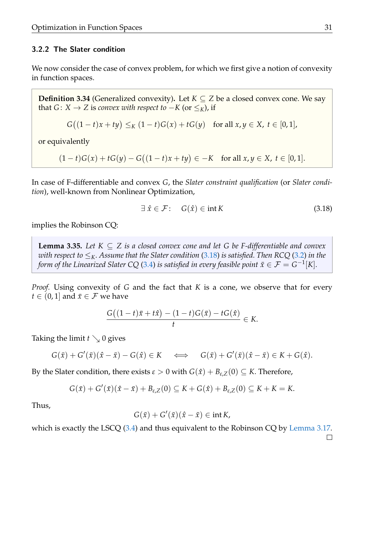### 3.2.2 The Slater condition

We now consider the case of convex problem, for which we first give a notion of convexity in function spaces.

**Definition 3.34** (Generalized convexity). Let  $K \subseteq Z$  be a closed convex cone. We say that *G* : *X* → *Z* is *convex with respect to*  $-K$  (or  $\leq_K$ ), if

$$
G((1-t)x + ty) \leq_K (1-t)G(x) + tG(y) \text{ for all } x, y \in X, t \in [0,1],
$$

or equivalently

 $(1-t)G(x) + tG(y) - G((1-t)x + ty) \in -K$  for all  $x, y \in X$ ,  $t \in [0,1]$ .

In case of F-differentiable and convex *G*, the *Slater constraint qualification* (or *Slater condition*), well-known from Nonlinear Optimization,

<span id="page-34-0"></span>
$$
\exists \hat{x} \in \mathcal{F}: \quad G(\hat{x}) \in \text{int } K \tag{3.18}
$$

implies the Robinson CQ:

<span id="page-34-1"></span>**Lemma 3.35.** Let  $K \subseteq Z$  is a closed convex cone and let G be F-differentiable and convex *with respect to*  $\leq_K$ *. Assume that the Slater condition* [\(3.18\)](#page-34-0) *is satisfied. Then RCQ* [\(3.2\)](#page-20-0) *in the form of the Linearized Slater CQ* [\(3.4\)](#page-22-0) *is satisfied in every feasible point*  $\bar{x}\in\mathcal{F}=G^{-1}[K].$ 

*Proof.* Using convexity of *G* and the fact that *K* is a cone, we observe that for every *t* ∈ (0, 1] and  $\bar{x}$  ∈  $\mathcal{F}$  we have

$$
\frac{G((1-t)\bar{x}+t\hat{x})-(1-t)G(\bar{x})-tG(\hat{x})}{t}\in K.
$$

Taking the limit  $t \searrow 0$  gives

$$
G(\bar{x}) + G'(\bar{x})(\hat{x} - \bar{x}) - G(\hat{x}) \in K \quad \Longleftrightarrow \quad G(\bar{x}) + G'(\bar{x})(\hat{x} - \bar{x}) \in K + G(\hat{x}).
$$

By the Slater condition, there exists  $\varepsilon > 0$  with  $G(\hat{x}) + B_{\varepsilon,Z}(0) \subseteq K$ . Therefore,

$$
G(\bar{x})+G'(\bar{x})(\hat{x}-\bar{x})+B_{\varepsilon,Z}(0)\subseteq K+G(\hat{x})+B_{\varepsilon,Z}(0)\subseteq K+K=K.
$$

Thus,

$$
G(\bar{x}) + G'(\bar{x})(\hat{x} - \bar{x}) \in \text{int } K,
$$

which is exactly the LSCQ [\(3.4\)](#page-22-0) and thus equivalent to the Robinson CQ by [Lemma 3.17.](#page-22-1)  $\Box$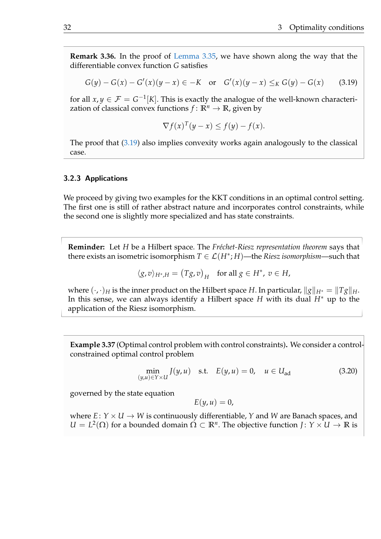**Remark 3.36.** In the proof of [Lemma 3.35,](#page-34-1) we have shown along the way that the differentiable convex function *G* satisfies

<span id="page-35-0"></span>
$$
G(y) - G(x) - G'(x)(y - x) \in -K \quad \text{or} \quad G'(x)(y - x) \leq_K G(y) - G(x) \tag{3.19}
$$

for all  $x, y \in \mathcal{F} = G^{-1}[K]$ . This is exactly the analogue of the well-known characterization of classical convex functions  $f: \mathbb{R}^n \to \mathbb{R}$ , given by

$$
\nabla f(x)^T (y - x) \le f(y) - f(x).
$$

The proof that [\(3.19\)](#page-35-0) also implies convexity works again analogously to the classical case.

## 3.2.3 Applications

We proceed by giving two examples for the KKT conditions in an optimal control setting. The first one is still of rather abstract nature and incorporates control constraints, while the second one is slightly more specialized and has state constraints.

**Reminder:** Let *H* be a Hilbert space. The *Fréchet-Riesz representation theorem* says that there exists an isometric isomorphism  $T \in \mathcal{L}(H^*;H)$ —the *Riesz isomorphism*—such that

$$
\langle g, v \rangle_{H^*,H} = (Tg,v)_H \quad \text{for all } g \in H^*, \ v \in H,
$$

where  $(\cdot, \cdot)_H$  is the inner product on the Hilbert space *H*. In particular,  $\|g\|_{H^*} = \|Tg\|_H$ . In this sense, we can always identify a Hilbert space *H* with its dual *H*<sup>∗</sup> up to the application of the Riesz isomorphism.

**Example 3.37** (Optimal control problem with control constraints)**.** We consider a controlconstrained optimal control problem

<span id="page-35-1"></span>
$$
\min_{(y,u)\in Y\times U} J(y,u) \quad \text{s.t.} \quad E(y,u) = 0, \quad u \in U_{\text{ad}} \tag{3.20}
$$

governed by the state equation

$$
E(y, u) = 0,
$$

where  $E: Y \times U \rightarrow W$  is continuously differentiable, *Y* and *W* are Banach spaces, and  $U = L^2(\Omega)$  for a bounded domain  $\Omega \subset \mathbb{R}^n$ . The objective function *J* :  $Y \times U \to \mathbb{R}$  is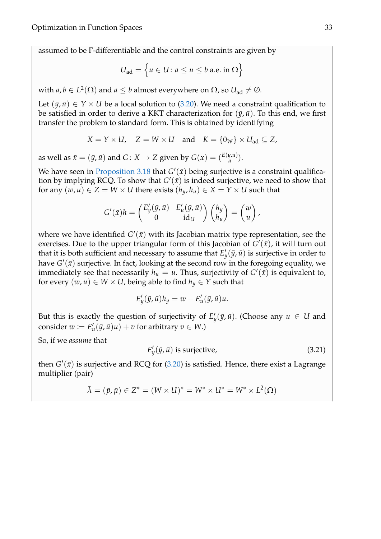assumed to be F-differentiable and the control constraints are given by

$$
U_{\text{ad}} = \left\{ u \in U \colon a \le u \le b \text{ a.e. in } \Omega \right\}
$$

with  $a, b \in L^2(\Omega)$  and  $a \leq b$  almost everywhere on  $\Omega$ , so  $U_{\text{ad}} \neq \varnothing$ .

Let  $(\bar{y}, \bar{u}) \in Y \times U$  be a local solution to [\(3.20\)](#page-35-1). We need a constraint qualification to be satisfied in order to derive a KKT characterization for  $(\bar{y}, \bar{u})$ . To this end, we first transfer the problem to standard form. This is obtained by identifying

$$
X = Y \times U
$$
,  $Z = W \times U$  and  $K = \{0_W\} \times U_{ad} \subseteq Z$ ,

as well as  $\bar{x} = (\bar{y}, \bar{u})$  and  $G: X \to Z$  given by  $G(x) = {E(y, u) \choose u}$  $_{u}^{y,u)}).$ 

We have seen in [Proposition 3.18](#page-22-2) that  $G'(\bar{x})$  being surjective is a constraint qualification by implying RCQ. To show that  $G'(\bar{x})$  is indeed surjective, we need to show that for any  $(w, u) \in Z = W \times U$  there exists  $(h_y, h_u) \in X = Y \times U$  such that

$$
G'(\bar{x})h = \begin{pmatrix} E'_y(\bar{y}, \bar{u}) & E'_u(\bar{y}, \bar{u}) \\ 0 & \mathrm{id}_U \end{pmatrix} \begin{pmatrix} h_y \\ h_u \end{pmatrix} = \begin{pmatrix} w \\ u \end{pmatrix},
$$

where we have identified  $G'(\bar{x})$  with its Jacobian matrix type representation, see the exercises. Due to the upper triangular form of this Jacobian of  $\tilde{G}'(\bar{x})$ , it will turn out that it is both sufficient and necessary to assume that  $E'_y(\bar{y}, \bar{u})$  is surjective in order to have  $G'(\bar x)$  surjective. In fact, looking at the second row in the foregoing equality, we immediately see that necessarily  $h_u = u$ . Thus, surjectivity of  $G'(\bar{x})$  is equivalent to, for every  $(w, u) \in W \times U$ , being able to find  $h_y \in Y$  such that

$$
E'_y(\bar{y}, \bar{u})h_y = w - E'_u(\bar{y}, \bar{u})u.
$$

But this is exactly the question of surjectivity of  $E'_y(\bar{y}, \bar{u})$ . (Choose any  $u \in U$  and consider  $w := E'_u(\bar{y}, \bar{u})u + v$  for arbitrary  $v \in W$ .)

So, if we *assume* that

 $E'_{1}$  $y'_{y}(\bar{y}, \bar{u})$  is surjective, (3.21)

then  $G'(\bar{x})$  is surjective and RCQ for  $(3.20)$  is satisfied. Hence, there exist a Lagrange multiplier (pair)

$$
\bar{\lambda} = (\bar{p}, \bar{\mu}) \in Z^* = (W \times U)^* = W^* \times U^* = W^* \times L^2(\Omega)
$$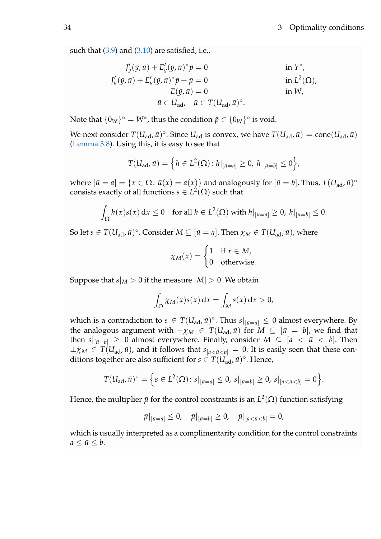such that  $(3.9)$  and  $(3.10)$  are satisfied, i.e.,

$$
J'_{y}(\bar{y}, \bar{u}) + E'_{y}(\bar{y}, \bar{u})^* \bar{p} = 0 \quad \text{in } Y^*,
$$
  
\n
$$
J'_{u}(\bar{y}, \bar{u}) + E'_{u}(\bar{y}, \bar{u})^* \bar{p} + \bar{\mu} = 0 \quad \text{in } L^2(\Omega),
$$
  
\n
$$
E(\bar{y}, \bar{u}) = 0 \quad \text{in } W,
$$
  
\n
$$
\bar{u} \in U_{ad}, \quad \bar{\mu} \in T(U_{ad}, \bar{u})^\circ.
$$

Note that  ${0_W}^{\circ} = W^*$ , thus the condition  $\bar{p} \in {0_W}^{\circ}$  is void.

We next consider  $T(U_{ad}, \bar{u})^{\circ}$ . Since  $U_{ad}$  is convex, we have  $T(U_{ad}, \bar{u}) = \overline{\mathrm{cone}(U_{ad}, \bar{u})}$ [\(Lemma 3.8\)](#page-17-1). Using this, it is easy to see that

$$
T(U_{\text{ad}}, \bar{u}) = \left\{ h \in L^{2}(\Omega) : h|_{[\bar{u}=a]} \geq 0, h|_{[\bar{u}=b]} \leq 0 \right\},\
$$

where  $[\bar{u} = a] = \{x \in \Omega : \bar{u}(x) = a(x)\}$  and analogously for  $[\bar{u} = b]$ . Thus,  $T(U_{ad}, \bar{u})^{\circ}$ consists exactly of all functions  $s \in L^2(\Omega)$  such that

$$
\int_{\Omega} h(x)s(x) dx \le 0 \quad \text{for all } h \in L^{2}(\Omega) \text{ with } h|_{[\bar{u}=a]} \ge 0, \ h|_{[\bar{u}=b]} \le 0.
$$

So let  $s \in T(U_{ad}, \bar{u})^{\circ}$ . Consider  $M \subseteq [\bar{u} = a]$ . Then  $\chi_M \in T(U_{ad}, \bar{u})$ , where

$$
\chi_M(x) = \begin{cases} 1 & \text{if } x \in M, \\ 0 & \text{otherwise.} \end{cases}
$$

Suppose that  $s|_M > 0$  if the measure  $|M| > 0$ . We obtain

$$
\int_{\Omega} \chi_M(x) s(x) \, \mathrm{d}x = \int_M s(x) \, \mathrm{d}x > 0,
$$

which is a contradiction to  $s \in T(U_{ad}, \bar{u})^{\circ}$ . Thus  $s|_{[\bar{u}=a]} \leq 0$  almost everywhere. By the analogous argument with  $-\chi_M \in T(U_{ad}, \bar{u})$  for  $M \subseteq [\bar{u} = b]$ , we find that then  $s|_{[\bar{u}=b]} \geq 0$  almost everywhere. Finally, consider  $M \subseteq [a \langle \bar{u} \langle b]$ . Then  $\pm \chi_M \in T(U_{ad}, \bar{u})$ , and it follows that  $s_{a < \bar{u} < b} = 0$ . It is easily seen that these conditions together are also sufficient for  $s \in T(U_{ad}^{\perp}, \bar{u})^{\circ}$ . Hence,

$$
T(U_{ad}, \bar{u})^{\circ} = \Big\{ s \in L^{2}(\Omega) \colon s|_{[\bar{u}=a]} \leq 0, \, s|_{[\bar{u}=b]} \geq 0, \, s|_{[a < \bar{u} < b]} = 0 \Big\}.
$$

Hence, the multiplier  $\bar{\mu}$  for the control constraints is an  $L^2(\Omega)$  function satisfying

$$
\bar{\mu}|_{[\bar{u}=a]} \leq 0, \quad \bar{\mu}|_{[\bar{u}=b]} \geq 0, \quad \bar{\mu}|_{[a < \bar{u} < b]} = 0,
$$

which is usually interpreted as a complimentarity condition for the control constraints  $a \leq \bar{u} \leq b$ .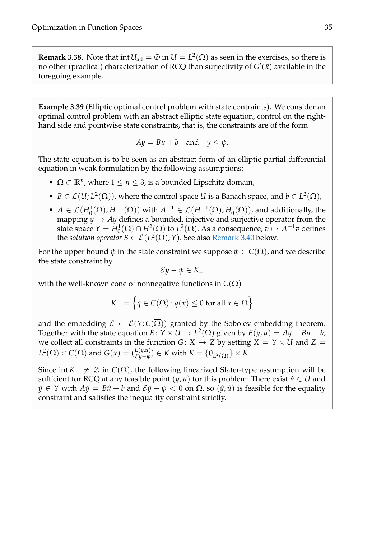**Remark 3.38.** Note that  $\text{int } U_{ad} = \emptyset$  in  $U = L^2(\Omega)$  as seen in the exercises, so there is no other (practical) characterization of RCQ than surjectivity of  $G'(\bar x)$  available in the foregoing example.

<span id="page-38-0"></span>**Example 3.39** (Elliptic optimal control problem with state contraints)**.** We consider an optimal control problem with an abstract elliptic state equation, control on the righthand side and pointwise state constraints, that is, the constraints are of the form

$$
Ay = Bu + b \quad \text{and} \quad y \le \psi.
$$

The state equation is to be seen as an abstract form of an elliptic partial differential equation in weak formulation by the following assumptions:

- $\Omega \subset \mathbb{R}^n$ , where  $1 \leq n \leq 3$ , is a bounded Lipschitz domain,
- $B \in \mathcal{L}(U; L^2(\Omega))$ , where the control space *U* is a Banach space, and  $b \in L^2(\Omega)$ ,
- $A \in \mathcal{L}(H_0^1(\Omega); H^{-1}(\Omega))$  with  $A^{-1} \in \mathcal{L}(H^{-1}(\Omega); H_0^1(\Omega))$ , and additionally, the mapping  $y \mapsto Ay$  defines a bounded, injective and surjective operator from the state space  $Y = H_0^1(\Omega) \cap H^2(\Omega)$  to  $L^2(\Omega)$ . As a consequence,  $v \mapsto A^{-1}v$  defines the *solution operator*  $S \in \mathcal{L}(L^2(\Omega); Y)$ . See also [Remark 3.40](#page-40-0) below.

For the upper bound  $\psi$  in the state constraint we suppose  $\psi \in C(\Omega)$ , and we describe the state constraint by

$$
\mathcal{E}y - \psi \in K_-
$$

with the well-known cone of nonnegative functions in  $C(\Omega)$ 

$$
K_{-} = \left\{ q \in C(\overline{\Omega}) : q(x) \le 0 \text{ for all } x \in \overline{\Omega} \right\}
$$

and the embedding  $\mathcal{E} \in \mathcal{L}(Y; C(\Omega))$  granted by the Sobolev embedding theorem. Together with the state equation  $E: Y \times U \rightarrow L^2(\Omega)$  given by  $E(y, u) = Ay - Bu - b$ , we collect all constraints in the function *G* :  $X \rightarrow Z$  by setting  $X = Y \times U$  and  $Z =$  $L^2(\Omega) \times C(\overline{\Omega})$  and  $G(x) = \binom{E(y,u)}{S(u-u)}$  $\mathcal{E}^{(y,u)}_{y-\psi}$   $\in K$  with  $K = \{0_{L^2(\Omega)}\} \times K_-.$ 

Since int *K*<sub>−</sub>  $\neq$  ⊘ in *C*( $\Omega$ ), the following linearized Slater-type assumption will be sufficient for RCQ at any feasible point  $(\bar{y}, \bar{u})$  for this problem: There exist  $\hat{u} \in U$  and  $\hat{y} \in Y$  with  $A\hat{y} = B\hat{u} + b$  and  $\mathcal{E}\hat{y} - \psi < 0$  on  $\Omega$ , so  $(\hat{y}, \hat{u})$  is feasible for the equality constraint and satisfies the inequality constraint strictly.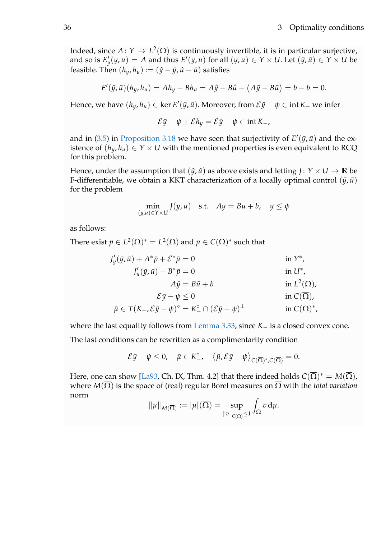Indeed, since  $A \colon Y \to L^2(\Omega)$  is continuously invertible, it is in particular surjective, and so is  $E'_y(y, u) = A$  and thus  $E'(y, u)$  for all  $(y, u) \in Y \times U$ . Let  $(\bar{y}, \bar{u}) \in Y \times U$  be feasible. Then  $(h_y, h_u) := (\hat{y} - \bar{y}, \hat{u} - \bar{u})$  satisfies

$$
E'(\bar{y}, \bar{u})(h_y, h_u) = Ah_y - Bh_u = A\hat{y} - B\hat{u} - (A\bar{y} - B\bar{u}) = b - b = 0.
$$

Hence, we have  $(h_y, h_u) \in \ker E'(\bar{y}, \bar{u})$ . Moreover, from  $\mathcal{E}\hat{y} - \psi \in \mathrm{int} K$ – we infer

$$
\mathcal{E}\bar{y} - \psi + \mathcal{E}h_y = \mathcal{E}\hat{y} - \psi \in \text{int}\,K_-,
$$

and in [\(3.5\)](#page-23-0) in [Proposition 3.18](#page-22-2) we have seen that surjectivity of  $E'(\bar{y}, \bar{u})$  and the existence of  $(h_y, h_y) \in Y \times U$  with the mentioned properties is even equivalent to RCQ for this problem.

Hence, under the assumption that  $(\hat{y}, \hat{u})$  as above exists and letting  $J: Y \times U \rightarrow \mathbb{R}$  be F-differentiable, we obtain a KKT characterization of a locally optimal control  $(\bar{y}, \bar{u})$ for the problem

$$
\min_{(y,u)\in Y\times U} J(y,u) \quad \text{s.t.} \quad Ay = Bu + b, \quad y \le \psi
$$

as follows:

There exist  $\bar{p}\in L^2(\Omega)^*=L^2(\Omega)$  and  $\bar{\mu}\in C(\overline{\Omega})^*$  such that

$$
J'_{y}(\bar{y}, \bar{u}) + A^* \bar{p} + \mathcal{E}^* \bar{\mu} = 0 \qquad \text{in } Y^*,
$$
  
\n
$$
J'_{u}(\bar{y}, \bar{u}) - B^* \bar{p} = 0 \qquad \text{in } U^*,
$$
  
\n
$$
A\bar{y} = B\bar{u} + b \qquad \text{in } L^2(\Omega),
$$
  
\n
$$
\mathcal{E}\bar{y} - \psi \le 0 \qquad \text{in } C(\overline{\Omega}),
$$
  
\n
$$
\bar{\mu} \in T(K_-, \mathcal{E}\bar{y} - \psi)^\circ = K_-^\circ \cap (\mathcal{E}\bar{y} - \psi)^\perp \qquad \text{in } C(\overline{\Omega})^*,
$$

where the last equality follows from [Lemma 3.33,](#page-33-1) since *K*− is a closed convex cone.

The last conditions can be rewritten as a complimentarity condition

$$
\mathcal{E} \bar{y} - \psi \leq 0, \quad \bar{\mu} \in K_{-}^{\circ}, \quad \left\langle \bar{\mu}, \mathcal{E} \bar{y} - \psi \right\rangle_{C(\overline{\Omega})^{*}, C(\overline{\Omega})} = 0.
$$

Here, one can show [\[La93,](#page-51-10) Ch. IX, Thm. 4.2] that there indeed holds  $C(\overline{\Omega})^* = M(\overline{\Omega})$ , where *M*(Ω) is the space of (real) regular Borel measures on Ω with the *total variation* norm

$$
\|\mu\|_{M(\overline{\Omega})} := |\mu|(\overline{\Omega}) = \sup_{\|v\|_{C(\overline{\Omega})} \leq 1} \int_{\overline{\Omega}} v \, d\mu.
$$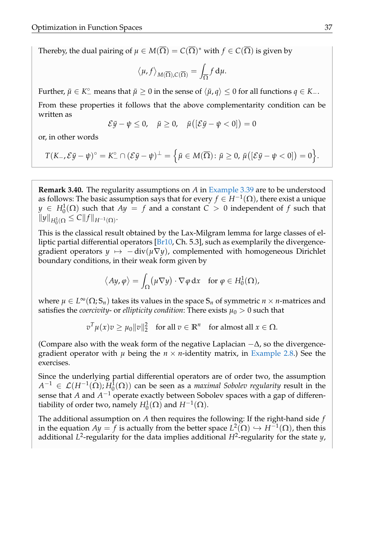Thereby, the dual pairing of  $\mu\in M(\overline{\Omega})=C(\overline{\Omega})^*$  with  $f\in C(\overline{\Omega})$  is given by

$$
\langle \mu, f \rangle_{M(\overline{\Omega}), C(\overline{\Omega})} = \int_{\overline{\Omega}} f d\mu.
$$

Further,  $\bar{\mu} \in K^{\circ}$  means that  $\bar{\mu} \geq 0$  in the sense of  $\langle \bar{\mu}, q \rangle \leq 0$  for all functions  $q \in K_-\$ .

From these properties it follows that the above complementarity condition can be written as

$$
\mathcal{E}\bar{y}-\psi\leq 0,\quad \bar{\mu}\geq 0,\quad \bar{\mu}([\mathcal{E}\bar{y}-\psi<0])=0
$$

or, in other words

$$
T(K_{-}, \mathcal{E}\bar{y}-\psi)^{\circ}=K_{-}^{\circ}\cap(\mathcal{E}\bar{y}-\psi)^{\perp}=\Big\{\bar{\mu}\in M(\overline{\Omega})\colon \bar{\mu}\geq 0,\ \bar{\mu}([\mathcal{E}\bar{y}-\psi<0])=0\Big\}.
$$

<span id="page-40-0"></span>**Remark 3.40.** The regularity assumptions on *A* in [Example 3.39](#page-38-0) are to be understood as follows: The basic assumption says that for every  $f \in H^{-1}(\Omega)$ , there exist a unique  $y \in H_0^1(\Omega)$  such that  $Ay = f$  and a constant  $C > 0$  independent of  $f$  such that  $||y||_{H_0^1(\Omega)} \leq C||f||_{H^{-1}(\Omega)}.$ 

This is the classical result obtained by the Lax-Milgram lemma for large classes of elliptic partial differential operators  $[Br10, Ch. 5.3]$  $[Br10, Ch. 5.3]$ , such as exemplarily the divergencegradient operators  $y \mapsto -\text{div}(\mu \nabla y)$ , complemented with homogeneous Dirichlet boundary conditions, in their weak form given by

$$
\langle Ay, \varphi \rangle = \int_{\Omega} (\mu \nabla y) \cdot \nabla \varphi \, dx \quad \text{for } \varphi \in H_0^1(\Omega),
$$

where  $\mu \in L^{\infty}(\Omega; \mathbb{S}_n)$  takes its values in the space  $\mathbb{S}_n$  of symmetric  $n \times n$ -matrices and satisfies the *coercivity*- or *ellipticity condition*: There exists  $\mu_0 > 0$  such that

> $v^T \mu(x) v \geq \mu_0 ||v||_2^2$  $\frac{2}{2}$  for all  $v \in \mathbb{R}^n$  for almost all  $x \in \Omega$ .

(Compare also with the weak form of the negative Laplacian  $-\Delta$ , so the divergencegradient operator with  $\mu$  being the  $n \times n$ -identity matrix, in [Example 2.8.](#page-11-1)) See the exercises.

Since the underlying partial differential operators are of order two, the assumption  $A^{-1}$  ∈  $\mathcal{L}(H^{-1}(\Omega); H_0^1(\Omega))$  can be seen as a *maximal Sobolev regularity* result in the sense that *A* and *A*<sup>-1</sup> operate exactly between Sobolev spaces with a gap of differentiability of order two, namely  $H_0^1(\Omega)$  and  $H^{-1}(\Omega)$ .

The additional assumption on *A* then requires the following: If the right-hand side *f* in the equation  $Ay = f$  is actually from the better space  $L^2(\Omega) \hookrightarrow H^{-1}(\Omega)$ , then this additional *L* 2 -regularity for the data implies additional *H*<sup>2</sup> -regularity for the state *y*,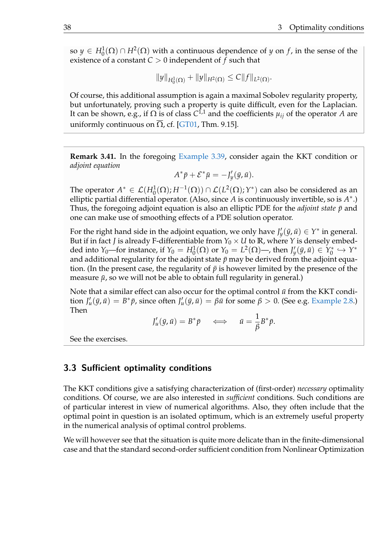so  $y \in H_0^1(\Omega) \cap H^2(\Omega)$  with a continuous dependence of *y* on *f*, in the sense of the existence of a constant *C* > 0 independent of *f* such that

$$
||y||_{H_0^1(\Omega)} + ||y||_{H^2(\Omega)} \leq C||f||_{L^2(\Omega)}.
$$

Of course, this additional assumption is again a maximal Sobolev regularity property, but unfortunately, proving such a property is quite difficult, even for the Laplacian. It can be shown, e.g., if Ω is of class *C* 1,1 and the coefficients *µij* of the operator *A* are uniformly continuous on  $Ω$ , cf. [\[GT01,](#page-51-11) Thm. 9.15].

**Remark 3.41.** In the foregoing [Example 3.39,](#page-38-0) consider again the KKT condition or *adjoint equation*

$$
A^*\bar{p} + \mathcal{E}^*\bar{\mu} = -J'_y(\bar{y}, \bar{u}).
$$

The operator  $A^* \in \mathcal{L}(H_0^1(\Omega); H^{-1}(\Omega)) \cap \mathcal{L}(L^2(\Omega); Y^*)$  can also be considered as an elliptic partial differential operator. (Also, since *A* is continuously invertible, so is *A* ∗ .) Thus, the foregoing adjoint equation is also an elliptic PDE for the *adjoint state*  $\bar{p}$  and one can make use of smoothing effects of a PDE solution operator.

For the right hand side in the adjoint equation, we only have  $J'_y(\bar{y}, \bar{u}) \in Y^*$  in general. But if in fact *J* is already F-differentiable from  $Y_0 \times U$  to  $\mathbb{R}$ , where *Y* is densely embedded into *Y*<sub>0</sub>—for instance, if *Y*<sub>0</sub> =  $H_0^1(\Omega)$  or *Y*<sub>0</sub> =  $L^2(\Omega)$ —, then  $J'_y(\bar{y}, \bar{u}) \in Y_0^*$ 0 ,→ *Y* ∗ and additional regularity for the adjoint state  $\bar{p}$  may be derived from the adjoint equation. (In the present case, the regularity of  $\bar{p}$  is however limited by the presence of the measure  $\bar{\mu}$ , so we will not be able to obtain full regularity in general.)

Note that a similar effect can also occur for the optimal control  $\bar{u}$  from the KKT condition  $J'_u(\bar{y}, \bar{u}) = B^* \bar{p}$ , since often  $J'_u(\bar{y}, \bar{u}) = \beta \bar{u}$  for some  $\beta > 0$ . (See e.g. [Example 2.8.](#page-11-1)) Then

$$
J'_u(\bar{y}, \bar{u}) = B^* \bar{p} \iff \bar{u} = \frac{1}{\beta} B^* \bar{p}.
$$

See the exercises.

## 3.3 Sufficient optimality conditions

The KKT conditions give a satisfying characterization of (first-order) *necessary* optimality conditions. Of course, we are also interested in *sufficient* conditions. Such conditions are of particular interest in view of numerical algorithms. Also, they often include that the optimal point in question is an isolated optimum, which is an extremely useful property in the numerical analysis of optimal control problems.

We will however see that the situation is quite more delicate than in the finite-dimensional case and that the standard second-order sufficient condition from Nonlinear Optimization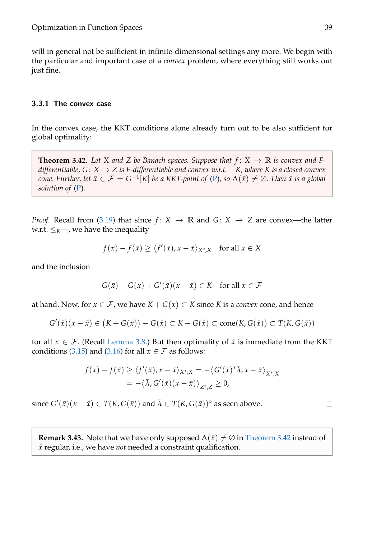will in general not be sufficient in infinite-dimensional settings any more. We begin with the particular and important case of a *convex* problem, where everything still works out just fine.

## 3.3.1 The convex case

In the convex case, the KKT conditions alone already turn out to be also sufficient for global optimality:

<span id="page-42-0"></span>**Theorem 3.42.** Let X and Z be Banach spaces. Suppose that  $f: X \to \mathbb{R}$  is convex and F*differentiable, G* : *X* → *Z is F-differentiable and convex w.r.t.* −*K, where K is a closed convex*  $cone.$  Further, let  $\bar{x} \in \mathcal{F} = G^{-1}[K]$  be a KKT-point of [\(P\)](#page-5-0), so  $\Lambda(\bar{x}) \neq \emptyset$ . Then  $\bar{x}$  is a global *solution of* [\(P\)](#page-5-0)*.*

*Proof.* Recall from [\(3.19\)](#page-35-0) that since  $f: X \rightarrow \mathbb{R}$  and  $G: X \rightarrow Z$  are convex—the latter w.r.t.  $\leq_K$ , we have the inequality

$$
f(x) - f(\bar{x}) \ge \langle f'(\bar{x}), x - \bar{x} \rangle_{X^*,X}
$$
 for all  $x \in X$ 

and the inclusion

$$
G(\bar{x}) - G(x) + G'(\bar{x})(x - \bar{x}) \in K \quad \text{for all } x \in \mathcal{F}
$$

at hand. Now, for  $x \in \mathcal{F}$ , we have  $K + G(x) \subset K$  since K is a *convex* cone, and hence

$$
G'(\bar{x})(x-\bar{x}) \in (K+G(x)) - G(\bar{x}) \subset K - G(\bar{x}) \subset \text{cone}(K, G(\bar{x})) \subset T(K, G(\bar{x}))
$$

for all  $x \in \mathcal{F}$ . (Recall [Lemma 3.8.](#page-17-1)) But then optimality of  $\bar{x}$  is immediate from the KKT conditions [\(3.15\)](#page-31-0) and [\(3.16\)](#page-31-1) for all  $x \in \mathcal{F}$  as follows:

$$
f(x) - f(\bar{x}) \ge \langle f'(\bar{x}), x - \bar{x} \rangle_{X^*,X} = -\langle G'(\bar{x})^* \bar{\lambda}, x - \bar{x} \rangle_{X^*,X}
$$
  
=  $-\langle \bar{\lambda}, G'(\bar{x})(x - \bar{x}) \rangle_{Z^*,Z} \ge 0$ ,

since  $G'(\bar{x})(x-\bar{x}) \in T(K,G(\bar{x}))$  and  $\bar{\lambda} \in T(K,G(\bar{x}))$ ° as seen above.

**Remark 3.43.** Note that we have only supposed  $\Lambda(\bar{x}) \neq \emptyset$  in [Theorem 3.42](#page-42-0) instead of *x*¯ regular, i.e., we have *not* needed a constraint qualification.

 $\Box$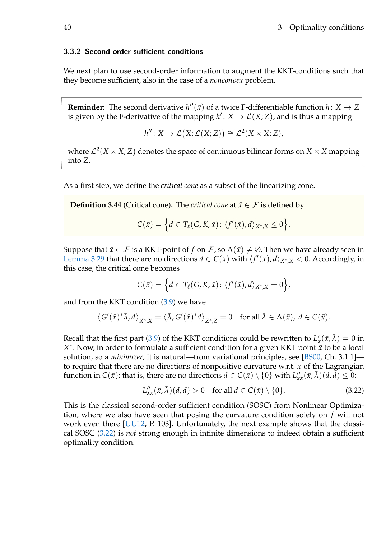#### 3.3.2 Second-order sufficient conditions

We next plan to use second-order information to augment the KKT-conditions such that they become sufficient, also in the case of a *nonconvex* problem.

**Reminder:** The second derivative  $h''(\bar{x})$  of a twice F-differentiable function  $h: X \to Z$ is given by the F-derivative of the mapping  $h' : X \to \mathcal{L}(X; Z)$ , and is thus a mapping

$$
h''\colon X\to \mathcal{L}\big(X;\mathcal{L}(X;Z)\big)\cong \mathcal{L}^2(X\times X;Z),
$$

where  $\mathcal{L}^2(X\times X;Z)$  denotes the space of continuous bilinear forms on  $X\times X$  mapping into *Z*.

As a first step, we define the *critical cone* as a subset of the linearizing cone.

**Definition 3.44** (Critical cone). The *critical cone* at  $\bar{x} \in \mathcal{F}$  is defined by

$$
C(\bar{x})=\Big\{d\in T_{\ell}(G,K,\bar{x})\colon \langle f'(\bar{x}),d\rangle_{X^*,X}\leq 0\Big\}.
$$

Suppose that  $\bar{x} \in \mathcal{F}$  is a KKT-point of *f* on  $\mathcal{F}$ , so  $\Lambda(\bar{x}) \neq \emptyset$ . Then we have already seen in [Lemma 3.29](#page-31-2) that there are no directions  $d \in C(\bar{x})$  with  $\langle f'(\bar{x}), d \rangle_{X^*,X} < 0$ . Accordingly, in this case, the critical cone becomes

$$
C(\bar{x})=\Big\{d\in T_{\ell}(G,K,\bar{x})\colon \langle f'(\bar{x}),d\rangle_{X^*,X}=0\Big\},\,
$$

and from the KKT condition  $(3.9)$  we have

$$
\left\langle G'(\bar{x})^*\bar{\lambda},d\right\rangle_{X^*,X}=\left\langle \bar{\lambda},G'(\bar{x})^*d\right\rangle_{Z^*,Z}=0\quad\text{for all }\bar{\lambda}\in\Lambda(\bar{x}),\ d\in C(\bar{x}).
$$

Recall that the first part [\(3.9\)](#page-27-0) of the KKT conditions could be rewritten to  $L'_x(\bar{x}, \bar{\lambda}) = 0$  in *X*<sup>∗</sup>. Now, in order to formulate a sufficient condition for a given KKT point *x*<sup>*τ*</sup> to be a local solution, so a *minimizer*, it is natural—from variational principles, see [\[BS00,](#page-51-3) Ch. 3.1.1] to require that there are no directions of nonpositive curvature w.r.t. *x* of the Lagrangian function in  $C(\bar{x})$ ; that is, there are no directions  $d \in C(\bar{x}) \setminus \{0\}$  with  $L''_{xx}(\bar{x}, \bar{\lambda})(d, \bar{d}) \leq 0$ :

<span id="page-43-0"></span>
$$
L''_{xx}(\bar{x}, \bar{\lambda})(d, d) > 0 \quad \text{for all } d \in C(\bar{x}) \setminus \{0\}. \tag{3.22}
$$

This is the classical second-order sufficient condition (SOSC) from Nonlinear Optimization, where we also have seen that posing the curvature condition solely on *f* will not work even there [\[UU12,](#page-51-2) P. 103]. Unfortunately, the next example shows that the classical SOSC [\(3.22\)](#page-43-0) is *not* strong enough in infinite dimensions to indeed obtain a sufficient optimality condition.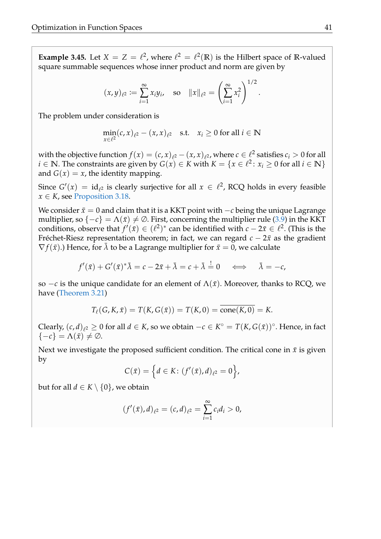**Example 3.45.** Let  $X = Z = \ell^2$ , where  $\ell^2 = \ell^2(\mathbb{R})$  is the Hilbert space of R-valued square summable sequences whose inner product and norm are given by

$$
(x,y)_{\ell^2} := \sum_{i=1}^{\infty} x_i y_i
$$
, so  $||x||_{\ell^2} = \left(\sum_{i=1}^{\infty} x_i^2\right)^{1/2}$ .

The problem under consideration is

$$
\min_{x \in \ell^2} (c, x)_{\ell^2} - (x, x)_{\ell^2} \quad \text{s.t.} \quad x_i \ge 0 \text{ for all } i \in \mathbb{N}
$$

with the objective function  $f(x) = (c, x)_{\ell^2} - (x, x)_{\ell^2}$ , where  $c \in \ell^2$  satisfies  $c_i > 0$  for all *i* ∈ **N**. The constraints are given by  $G(x)$  ∈ *K* with  $K = \{x \in \ell^2 \colon x_i \ge 0 \text{ for all } i \in \mathbb{N}\}\$ and  $G(x) = x$ , the identity mapping.

Since  $G'(x) = id_{\ell^2}$  is clearly surjective for all  $x \in \ell^2$ , RCQ holds in every feasible  $x \in K$ , see [Proposition 3.18.](#page-22-2)

We consider  $\bar{x} = 0$  and claim that it is a KKT point with  $-c$  being the unique Lagrange multiplier, so  $\{-c\} = \Lambda(\bar{x}) \neq \emptyset$ . First, concerning the multiplier rule [\(3.9\)](#page-27-0) in the KKT conditions, observe that  $f'(\bar{x}) \in (\ell^2)^*$  can be identified with  $c - 2\bar{x} \in \ell^2$ . (This is the Fréchet-Riesz representation theorem; in fact, we can regard  $c - 2\bar{x}$  as the gradient  $\nabla f(\bar{x})$ .) Hence, for  $\bar{\lambda}$  to be a Lagrange multiplier for  $\bar{x}=0$ , we calculate

$$
f'(\bar{x}) + G'(\bar{x})^* \bar{\lambda} = c - 2\bar{x} + \bar{\lambda} = c + \bar{\lambda} = 0 \quad \Longleftrightarrow \quad \bar{\lambda} = -c,
$$

so  $-c$  is the unique candidate for an element of  $\Lambda(\bar{x})$ . Moreover, thanks to RCQ, we have [\(Theorem 3.21\)](#page-24-0)

$$
T_{\ell}(G, K, \bar{x}) = T(K, G(\bar{x})) = T(K, 0) = \text{cone}(K, 0) = K.
$$

Clearly,  $(c, d)_{\ell^2} \geq 0$  for all  $d \in K$ , so we obtain  $-c \in K^{\circ} = T(K, G(\bar{x}))^{\circ}$ . Hence, in fact  $\{-c\} = \Lambda(\bar{x}) \neq \emptyset$ .

Next we investigate the proposed sufficient condition. The critical cone in  $\bar{x}$  is given by

$$
C(\bar{x}) = \left\{ d \in K : (f'(\bar{x}), d)_{\ell^2} = 0 \right\},\
$$

but for all  $d \in K \setminus \{0\}$ , we obtain

$$
(f'(\bar{x}),d)_{\ell^2}=(c,d)_{\ell^2}=\sum_{i=1}^\infty c_i d_i>0,
$$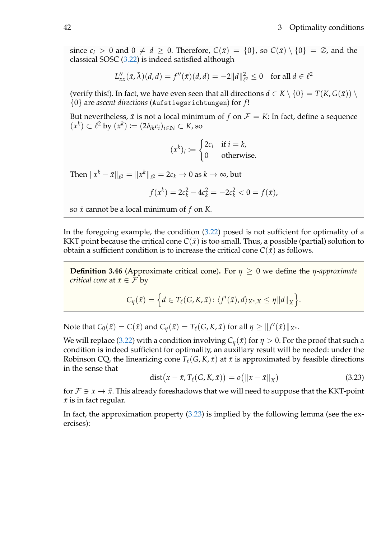since  $c_i > 0$  and  $0 \neq d \geq 0$ . Therefore,  $C(\bar{x}) = \{0\}$ , so  $C(\bar{x}) \setminus \{0\} = \emptyset$ , and the classical SOSC [\(3.22\)](#page-43-0) is indeed satisfied although

$$
L''_{xx}(\bar{x}, \bar{\lambda})(d, d) = f''(\bar{x})(d, d) = -2||d||_{\ell^2}^2 \le 0 \text{ for all } d \in \ell^2
$$

(verify this!). In fact, we have even seen that all directions  $d \in K \setminus \{0\} = T(K, G(\bar{x})) \setminus$ {0} are *ascent directions* (Aufstiegsrichtungen) for *f* !

But nevertheless,  $\bar{x}$  is not a local minimum of  $f$  on  $\mathcal{F} = K$ : In fact, define a sequence  $(x^k) \subset \ell^2$  by  $(x^k) \coloneqq (2\delta_{ik}c_i)_{i \in \mathbb{N}} \subset K$ , so

$$
(x^k)_i := \begin{cases} 2c_i & \text{if } i = k, \\ 0 & \text{otherwise.} \end{cases}
$$

Then  $\|x^k - \bar{x}\|_{\ell^2} = \|x^k\|_{\ell^2} = 2c_k \to 0$  as  $k \to \infty$ , but

$$
f(x^k) = 2c_k^2 - 4c_k^2 = -2c_k^2 < 0 = f(\bar{x}),
$$

so  $\bar{x}$  cannot be a local minimum of  $f$  on  $K$ .

In the foregoing example, the condition [\(3.22\)](#page-43-0) posed is not sufficient for optimality of a KKT point because the critical cone  $C(\bar{x})$  is too small. Thus, a possible (partial) solution to obtain a sufficient condition is to increase the critical cone  $C(\bar{x})$  as follows.

**Definition 3.46** (Approximate critical cone). For  $\eta \geq 0$  we define the *η-approximate critical cone* at  $\bar{x} \in \mathcal{F}$  by

$$
C_{\eta}(\bar{x}) = \Big\{d \in T_{\ell}(G,K,\bar{x}) \colon \langle f'(\bar{x}),d\rangle_{X^*,X} \leq \eta \|d\|_X\Big\}.
$$

 $\text{Note that } C_0(\bar{x}) = C(\bar{x}) \text{ and } C_\eta(\bar{x}) = T_\ell(G, K, \bar{x}) \text{ for all } \eta \geq \|f'(\bar{x})\|_{X^*}.$ 

We will replace [\(3.22\)](#page-43-0) with a condition involving  $C_n(\bar{x})$  for  $\eta > 0$ . For the proof that such a condition is indeed sufficient for optimality, an auxiliary result will be needed: under the Robinson CQ, the linearizing cone  $T_\ell(G, K, \bar{x})$  at  $\bar{x}$  is approximated by feasible directions in the sense that

<span id="page-45-0"></span>
$$
dist(x - \bar{x}, T_{\ell}(G, K, \bar{x})) = o(||x - \bar{x}||_X)
$$
\n(3.23)

for  $\mathcal{F} \ni x \to \bar{x}$ . This already foreshadows that we will need to suppose that the KKT-point  $\bar{x}$  is in fact regular.

In fact, the approximation property [\(3.23\)](#page-45-0) is implied by the following lemma (see the exercises):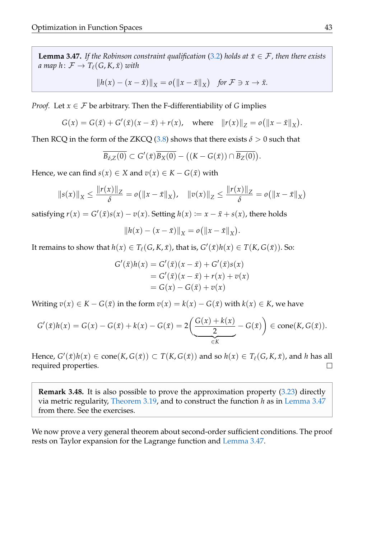<span id="page-46-0"></span>**Lemma 3.47.** If the Robinson constraint qualification [\(3.2\)](#page-20-0) holds at  $\bar{x} \in \mathcal{F}$ , then there exists *a* map  $h: \mathcal{F} \to T_{\ell}(G, K, \bar{x})$  *with* 

$$
||h(x) - (x - \bar{x})||_X = o(||x - \bar{x}||_X) \text{ for } \mathcal{F} \ni x \to \bar{x}.
$$

*Proof.* Let  $x \in \mathcal{F}$  be arbitrary. Then the F-differentiability of *G* implies

$$
G(x) = G(\bar{x}) + G'(\bar{x})(x - \bar{x}) + r(x), \text{ where } ||r(x)||_Z = o(||x - \bar{x}||_X).
$$

Then RCQ in the form of the ZKCQ [\(3.8\)](#page-26-1) shows that there exists  $\delta > 0$  such that

$$
\overline{B_{\delta,Z}(0)}\subset G'(\bar{x})\overline{B_X(0)}-\big((K-G(\bar{x}))\cap \overline{B_Z(0)}\big).
$$

Hence, we can find  $s(x) \in X$  and  $v(x) \in K - G(\bar{x})$  with

$$
||s(x)||_X \le \frac{||r(x)||_Z}{\delta} = o(||x - \bar{x}||_X), \quad ||v(x)||_Z \le \frac{||r(x)||_Z}{\delta} = o(||x - \bar{x}||_X)
$$

satisfying  $r(x) = G'(\bar{x})s(x) - v(x)$ . Setting  $h(x) := x - \bar{x} + s(x)$ , there holds

$$
||h(x) - (x - \bar{x})||_X = o(||x - \bar{x}||_X).
$$

It remains to show that  $h(x) \in T_\ell(G, K, \bar{x})$ , that is,  $G'(\bar{x})h(x) \in T(K, G(\bar{x})).$  So:

$$
G'(\bar{x})h(x) = G'(\bar{x})(x - \bar{x}) + G'(\bar{x})s(x)
$$
  
=  $G'(\bar{x})(x - \bar{x}) + r(x) + v(x)$   
=  $G(x) - G(\bar{x}) + v(x)$ 

Writing  $v(x) \in K - G(\bar{x})$  in the form  $v(x) = k(x) - G(\bar{x})$  with  $k(x) \in K$ , we have

$$
G'(\bar{x})h(x) = G(x) - G(\bar{x}) + k(x) - G(\bar{x}) = 2\left(\underbrace{\frac{G(x) + k(x)}{2}}_{\in K} - G(\bar{x})\right) \in \text{cone}(K, G(\bar{x})).
$$

 $H$ ence,  $G'(\bar{x})h(x) \in \text{cone}(K, G(\bar{x})) \subset T(K, G(\bar{x}))$  and so  $h(x) \in T_\ell(G, K, \bar{x})$ , and *h* has all required properties.  $\Box$ 

**Remark 3.48.** It is also possible to prove the approximation property [\(3.23\)](#page-45-0) directly via metric regularity, [Theorem 3.19,](#page-23-2) and to construct the function *h* as in [Lemma 3.47](#page-46-0) from there. See the exercises.

We now prove a very general theorem about second-order sufficient conditions. The proof rests on Taylor expansion for the Lagrange function and [Lemma 3.47.](#page-46-0)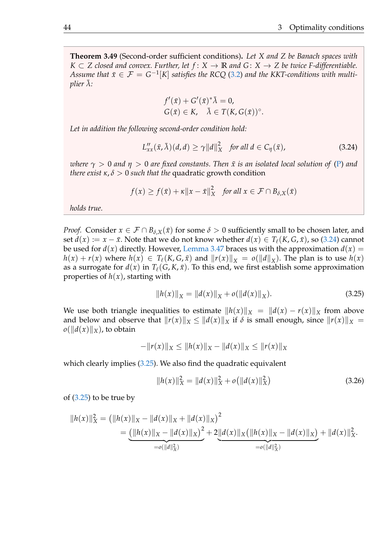<span id="page-47-2"></span>**Theorem 3.49** (Second-order sufficient conditions)**.** *Let X and Z be Banach spaces with K* ⊂ *Z* closed and convex. Further, let  $f$  :  $X$  → **R** and  $G$  :  $X$  → *Z* be twice F-differentiable. *Assume that*  $\bar{x} \in \mathcal{F} = G^{-1}[K]$  *satisfies the RCQ* [\(3.2\)](#page-20-0) and the KKT-conditions with multi*plier*  $\lambda$ :

$$
f'(\bar{x}) + G'(\bar{x})^* \bar{\lambda} = 0,
$$
  
 
$$
G(\bar{x}) \in K, \quad \bar{\lambda} \in T(K, G(\bar{x}))^{\circ}.
$$

*Let in addition the following second-order condition hold:*

<span id="page-47-0"></span>
$$
L_{xx}''(\bar{x}, \bar{\lambda})(d, d) \ge \gamma ||d||_X^2 \quad \text{for all } d \in C_\eta(\bar{x}), \tag{3.24}
$$

*where*  $\gamma > 0$  *and*  $\eta > 0$  *are* fixed constants. Then  $\bar{x}$  is an isolated local solution of [\(P\)](#page-5-0) and *there exist*  $\kappa$ ,  $\delta > 0$  *such that the* quadratic growth condition

$$
f(x) \ge f(\bar{x}) + \kappa \|x - \bar{x}\|_X^2 \quad \text{for all } x \in \mathcal{F} \cap B_{\delta,X}(\bar{x})
$$

*holds true.*

*Proof.* Consider  $x \in \mathcal{F} \cap B_{\delta,X}(\bar{x})$  for some  $\delta > 0$  sufficiently small to be chosen later, and set  $d(x) := x - \bar{x}$ . Note that we do not know whether  $d(x) \in T_\ell(K, G, \bar{x})$ , so [\(3.24\)](#page-47-0) cannot be used for  $d(x)$  directly. However, [Lemma 3.47](#page-46-0) braces us with the approximation  $d(x) =$  $h(x) + r(x)$  where  $h(x) \in T_\ell(K, G, \bar{x})$  and  $||r(x)||_X = o(||d||_X)$ . The plan is to use  $h(x)$ as a surrogate for  $d(x)$  in  $T_\ell(G, K, \bar{x})$ . To this end, we first establish some approximation properties of  $h(x)$ , starting with

<span id="page-47-1"></span>
$$
||h(x)||_X = ||d(x)||_X + o(||d(x)||_X).
$$
 (3.25)

We use both triangle inequalities to estimate  $||h(x)||_X = ||d(x) - r(x)||_X$  from above and below and observe that  $||r(x)||_X \leq ||d(x)||_X$  if  $\delta$  is small enough, since  $||r(x)||_X =$  $o(||d(x)||_X)$ , to obtain

$$
-\|r(x)\|_X \le \|h(x)\|_X - \|d(x)\|_X \le \|r(x)\|_X
$$

which clearly implies [\(3.25\)](#page-47-1). We also find the quadratic equivalent

$$
||h(x)||_{X}^{2} = ||d(x)||_{X}^{2} + o(||d(x)||_{X}^{2})
$$
\n(3.26)

of [\(3.25\)](#page-47-1) to be true by

$$
||h(x)||_X^2 = (||h(x)||_X - ||d(x)||_X + ||d(x)||_X)^2
$$
  
= 
$$
\underbrace{(||h(x)||_X - ||d(x)||_X)^2}_{=o(||d||_X^2)} + 2\underbrace{||d(x)||_X(||h(x)||_X - ||d(x)||_X)}_{=o(||d||_X^2)} + ||d(x)||_X^2.
$$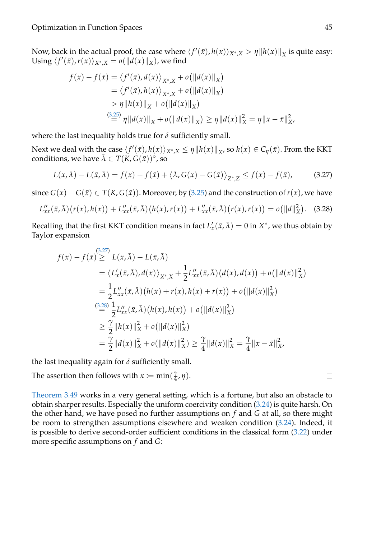Now, back in the actual proof, the case where  $\langle f'(\bar{x}), h(x) \rangle_{X^*,X} > \eta \|h(x)\|_X$  is quite easy: Using  $\langle f'(\bar{x}), r(x) \rangle_{X^*,X} = o(\|d(x)\|_X)$ , we find

$$
f(x) - f(\bar{x}) = \langle f'(\bar{x}), d(x) \rangle_{X^*,X} + o(||d(x)||_X)
$$
  
=  $\langle f'(\bar{x}), h(x) \rangle_{X^*,X} + o(||d(x)||_X)$   
>  $\eta ||h(x)||_X + o(||d(x)||_X)$   
 $\stackrel{(3.25)}{=} \eta ||d(x)||_X + o(||d(x)||_X) \ge \eta ||d(x)||_X^2 = \eta ||x - \bar{x}||_X^2,$ 

where the last inequality holds true for *δ* sufficiently small.

Next we deal with the case  $\langle f'(\bar{x}), h(x) \rangle_{X^*,X} \leq \eta \|h(x)\|_X$ , so  $h(x) \in C_\eta(\bar{x})$ . From the KKT conditions, we have  $\bar{\lambda} \in T(\check{K}, G(\bar{x}))^{\circ}$ , so

<span id="page-48-0"></span>
$$
L(x,\bar{\lambda}) - L(\bar{x},\bar{\lambda}) = f(x) - f(\bar{x}) + \langle \bar{\lambda}, G(x) - G(\bar{x}) \rangle_{Z^*,Z} \le f(x) - f(\bar{x}), \tag{3.27}
$$

since *G*(*x*) − *G*( $\bar{x}$ ) ∈ *T*(*K*, *G*( $\bar{x}$ )). Moreover, by [\(3.25\)](#page-47-1) and the construction of *r*(*x*), we have

<span id="page-48-1"></span>
$$
L''_{xx}(\bar{x},\bar{\lambda})(r(x),h(x)) + L''_{xx}(\bar{x},\bar{\lambda})(h(x),r(x)) + L''_{xx}(\bar{x},\bar{\lambda})(r(x),r(x)) = o(||d||_X^2).
$$
 (3.28)

Recalling that the first KKT condition means in fact  $L'_x(\bar x, \bar \lambda) = 0$  in  $X^*$ , we thus obtain by Taylor expansion

$$
f(x) - f(\bar{x}) \ge L(x, \bar{\lambda}) - L(\bar{x}, \bar{\lambda})
$$
  
\n
$$
= \langle L'_x(\bar{x}, \bar{\lambda}), d(x) \rangle_{X^*, X} + \frac{1}{2} L''_{xx}(\bar{x}, \bar{\lambda}) (d(x), d(x)) + o(||d(x)||_X^2)
$$
  
\n
$$
= \frac{1}{2} L''_{xx}(\bar{x}, \bar{\lambda}) (h(x) + r(x), h(x) + r(x)) + o(||d(x)||_X^2)
$$
  
\n
$$
\stackrel{(3.28)}{=} \frac{1}{2} L''_{xx}(\bar{x}, \bar{\lambda}) (h(x), h(x)) + o(||d(x)||_X^2)
$$
  
\n
$$
\ge \frac{\gamma}{2} ||h(x)||_X^2 + o(||d(x)||_X^2)
$$
  
\n
$$
= \frac{\gamma}{2} ||d(x)||_X^2 + o(||d(x)||_X^2) \ge \frac{\gamma}{4} ||d(x)||_X^2 = \frac{\gamma}{4} ||x - \bar{x}||_X^2,
$$

the last inequality again for  $\delta$  sufficiently small.

The assertion then follows with  $\kappa \coloneqq \min(\frac{\gamma}{4})$  $\frac{\gamma}{4}$ ,  $\eta$ ).

[Theorem 3.49](#page-47-2) works in a very general setting, which is a fortune, but also an obstacle to obtain sharper results. Especially the uniform coercivity condition [\(3.24\)](#page-47-0) is quite harsh. On the other hand, we have posed no further assumptions on *f* and *G* at all, so there might be room to strengthen assumptions elsewhere and weaken condition [\(3.24\)](#page-47-0). Indeed, it is possible to derive second-order sufficient conditions in the classical form [\(3.22\)](#page-43-0) under more specific assumptions on *f* and *G*:

 $\Box$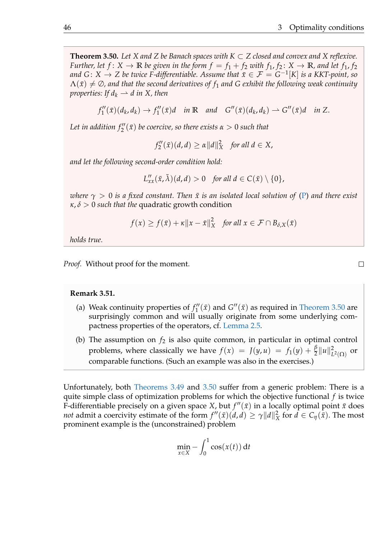<span id="page-49-0"></span>**Theorem 3.50.** Let X and Z be Banach spaces with  $K \subset Z$  closed and convex and X reflexive. *Further, let*  $f: X \to \mathbb{R}$  *be given in the form*  $f = f_1 + f_2$  *with*  $f_1, f_2: X \to \mathbb{R}$ *, and let*  $f_1, f_2$ *and G*:  $X \to Z$  *be twice F-differentiable. Assume that*  $\bar{x} \in \mathcal{F} = G^{-1}[K]$  *is a KKT-point, so*  $\Lambda(\bar{x}) \neq \emptyset$ , and that the second derivatives of  $f_1$  and G exhibit the following weak continuity *properties:* If  $d_k \rightharpoonup d$  *in* X, then

$$
f''_1(\bar{x})(d_k, d_k) \to f''_1(\bar{x})d \quad \text{in } \mathbb{R} \quad \text{and} \quad G''(\bar{x})(d_k, d_k) \to G''(\bar{x})d \quad \text{in } Z.
$$

Let in addition  $f''_2(\bar{x})$  be coercive, so there exists  $\alpha > 0$  such that

 $f_2''$  $\chi''_2(\bar{x})(d, d) \ge \alpha ||d||_X^2$  *for all*  $d \in X$ *,* 

*and let the following second-order condition hold:*

$$
L''_{xx}(\bar{x},\bar{\lambda})(d,d) > 0 \quad \text{for all } d \in C(\bar{x}) \setminus \{0\},
$$

*where*  $\gamma > 0$  *is a fixed constant. Then*  $\bar{x}$  *is an isolated local solution of* [\(P\)](#page-5-0) *and there exist κ*, *δ* > 0 *such that the* quadratic growth condition

$$
f(x) \ge f(\bar{x}) + \kappa \|x - \bar{x}\|_X^2 \quad \text{for all } x \in \mathcal{F} \cap B_{\delta,X}(\bar{x})
$$

*holds true.*

*Proof.* Without proof for the moment.

#### **Remark 3.51.**

- (a) Weak continuity properties of  $f_1''$  $T_1''(\bar{x})$  and  $G''(\bar{x})$  as required in [Theorem 3.50](#page-49-0) are surprisingly common and will usually originate from some underlying compactness properties of the operators, cf. [Lemma 2.5.](#page-10-0)
- (b) The assumption on  $f_2$  is also quite common, in particular in optimal control problems, where classically we have  $f(x) = J(y, u) = f_1(y) + \frac{\beta}{2} ||u||_L^2$  $L^2(\Omega)$  or comparable functions. (Such an example was also in the exercises.)

Unfortunately, both [Theorems 3.49](#page-47-2) and [3.50](#page-49-0) suffer from a generic problem: There is a quite simple class of optimization problems for which the objective functional *f* is twice F-differentiable precisely on a given space *X*, but  $f''(\bar{x})$  in a locally optimal point  $\bar{x}$  does *not* admit a coercivity estimate of the form  $f''(\bar{x})(d, d) \ge \gamma ||d||_2^2$  $\frac{2}{X}$  for  $d \in C_{\eta}(\bar{x})$ . The most prominent example is the (unconstrained) problem

$$
\min_{x \in X} - \int_0^1 \cos(x(t)) \, \mathrm{d}t
$$

 $\Box$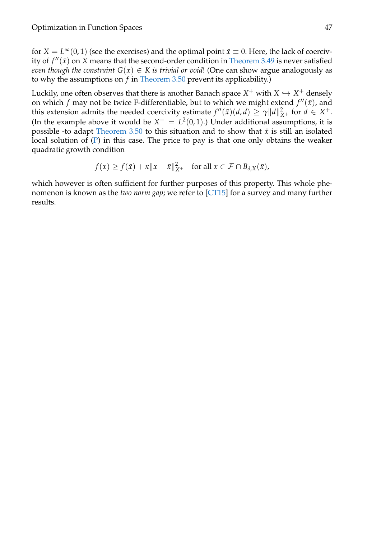for  $X = L^{\infty}(0, 1)$  (see the exercises) and the optimal point  $\bar{x} \equiv 0$ . Here, the lack of coercivity of  $f''(\bar{x})$  on *X* means that the second-order condition in [Theorem 3.49](#page-47-2) is never satisfied *even though the constraint*  $G(x) \in K$  *is trivial or void!* (One can show argue analogously as to why the assumptions on *f* in [Theorem 3.50](#page-49-0) prevent its applicability.)

Luckily, one often observes that there is another Banach space  $X^+$  with  $X \hookrightarrow X^+$  densely on which  $f$  may not be twice F-differentiable, but to which we might extend  $f''(\bar{x})$ , and this extension admits the needed coercivity estimate  $f''(\bar{x})(d, d) \ge \gamma ||d||_{X^+}^2$  for  $d \in X^+$ . (In the example above it would be  $X^+ = L^2(0,1)$ .) Under additional assumptions, it is possible -to adapt [Theorem 3.50](#page-49-0) to this situation and to show that  $\bar{x}$  is still an isolated local solution of  $(P)$  in this case. The price to pay is that one only obtains the weaker quadratic growth condition

$$
f(x) \ge f(\bar{x}) + \kappa \|x - \bar{x}\|_{X^+}^2 \quad \text{for all } x \in \mathcal{F} \cap B_{\delta,X}(\bar{x}),
$$

which however is often sufficient for further purposes of this property. This whole phenomenon is known as the *two norm gap*; we refer to [\[CT15\]](#page-51-12) for a survey and many further results.